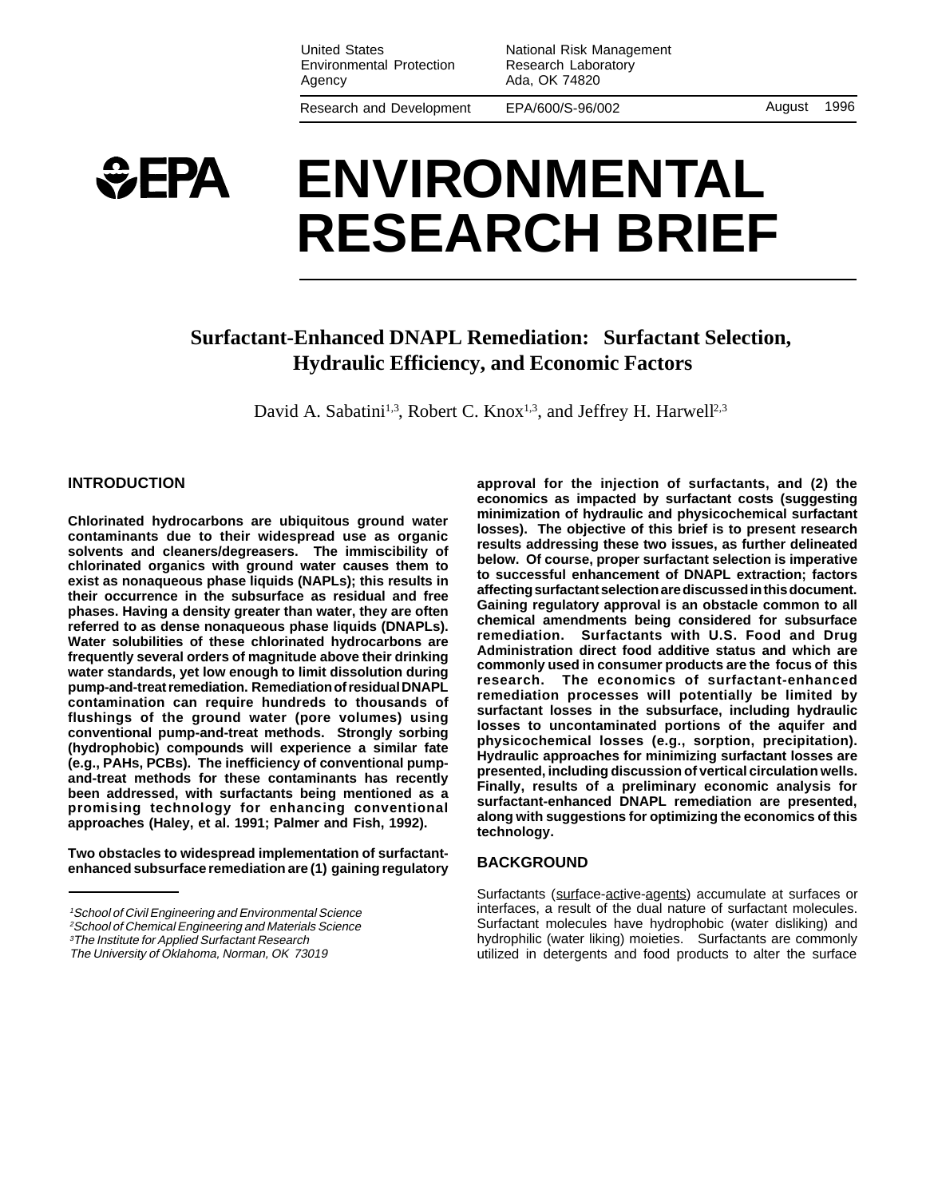United States Environmental Protection Agency

National Risk Management Research Laboratory Ada, OK 74820

Research and Development

EPA/600/S-96/002 August 1996

# $E$ **EPA ENVIRONMENTAL RESEARCH BRIEF**

## **Surfactant-Enhanced DNAPL Remediation: Surfactant Selection, Hydraulic Efficiency, and Economic Factors**

David A. Sabatini<sup>1,3</sup>, Robert C. Knox<sup>1,3</sup>, and Jeffrey H. Harwell<sup>2,3</sup>

## **INTRODUCTION**

**Chlorinated hydrocarbons are ubiquitous ground water contaminants due to their widespread use as organic solvents and cleaners/degreasers. The immiscibility of chlorinated organics with ground water causes them to exist as nonaqueous phase liquids (NAPLs); this results in their occurrence in the subsurface as residual and free phases. Having a density greater than water, they are often referred to as dense nonaqueous phase liquids (DNAPLs). Water solubilities of these chlorinated hydrocarbons are frequently several orders of magnitude above their drinking water standards, yet low enough to limit dissolution during pump-and-treat remediation. Remediation of residual DNAPL contamination can require hundreds to thousands of flushings of the ground water (pore volumes) using conventional pump-and-treat methods. Strongly sorbing (hydrophobic) compounds will experience a similar fate (e.g., PAHs, PCBs). The inefficiency of conventional pumpand-treat methods for these contaminants has recently been addressed, with surfactants being mentioned as a promising technology for enhancing conventional approaches (Haley, et al. 1991; Palmer and Fish, 1992).**

**Two obstacles to widespread implementation of surfactantenhanced subsurface remediation are (1) gaining regulatory** **approval for the injection of surfactants, and (2) the economics as impacted by surfactant costs (suggesting minimization of hydraulic and physicochemical surfactant losses). The objective of this brief is to present research results addressing these two issues, as further delineated below. Of course, proper surfactant selection is imperative to successful enhancement of DNAPL extraction; factors affecting surfactant selection are discussed in this document. Gaining regulatory approval is an obstacle common to all chemical amendments being considered for subsurface remediation. Surfactants with U.S. Food and Drug Administration direct food additive status and which are commonly used in consumer products are the focus of this research. The economics of surfactant-enhanced remediation processes will potentially be limited by surfactant losses in the subsurface, including hydraulic losses to uncontaminated portions of the aquifer and physicochemical losses (e.g., sorption, precipitation). Hydraulic approaches for minimizing surfactant losses are presented, including discussion of vertical circulation wells. Finally, results of a preliminary economic analysis for surfactant-enhanced DNAPL remediation are presented, along with suggestions for optimizing the economics of this technology.**

#### **BACKGROUND**

Surfactants (surface-active-agents) accumulate at surfaces or interfaces, a result of the dual nature of surfactant molecules. Surfactant molecules have hydrophobic (water disliking) and hydrophilic (water liking) moieties. Surfactants are commonly utilized in detergents and food products to alter the surface

<sup>1</sup>School of Civil Engineering and Environmental Science

<sup>2</sup>School of Chemical Engineering and Materials Science

<sup>&</sup>lt;sup>3</sup>The Institute for Applied Surfactant Research

The University of Oklahoma, Norman, OK 73019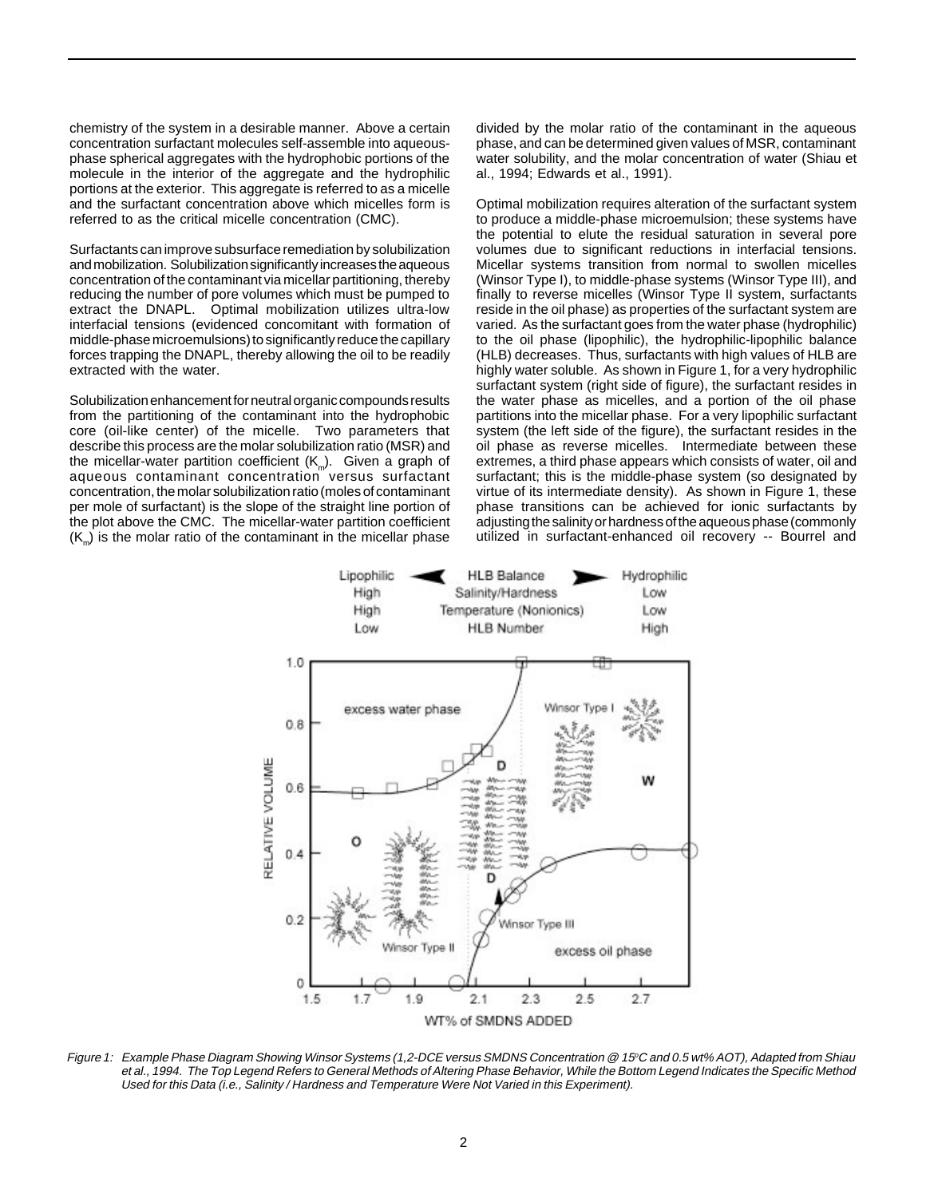chemistry of the system in a desirable manner. Above a certain concentration surfactant molecules self-assemble into aqueousphase spherical aggregates with the hydrophobic portions of the molecule in the interior of the aggregate and the hydrophilic portions at the exterior. This aggregate is referred to as a micelle and the surfactant concentration above which micelles form is referred to as the critical micelle concentration (CMC).

Surfactants can improve subsurface remediation by solubilization and mobilization. Solubilization significantly increases the aqueous concentration of the contaminant via micellar partitioning, thereby reducing the number of pore volumes which must be pumped to extract the DNAPL. Optimal mobilization utilizes ultra-low interfacial tensions (evidenced concomitant with formation of middle-phase microemulsions) to significantly reduce the capillary forces trapping the DNAPL, thereby allowing the oil to be readily extracted with the water.

Solubilization enhancement for neutral organic compounds results from the partitioning of the contaminant into the hydrophobic core (oil-like center) of the micelle. Two parameters that describe this process are the molar solubilization ratio (MSR) and the micellar-water partition coefficient  $(K_m)$ . Given a graph of aqueous contaminant concentration versus surfactant concentration, the molar solubilization ratio (moles of contaminant per mole of surfactant) is the slope of the straight line portion of the plot above the CMC. The micellar-water partition coefficient  $(K<sub>m</sub>)$  is the molar ratio of the contaminant in the micellar phase

divided by the molar ratio of the contaminant in the aqueous phase, and can be determined given values of MSR, contaminant water solubility, and the molar concentration of water (Shiau et al., 1994; Edwards et al., 1991).

Optimal mobilization requires alteration of the surfactant system to produce a middle-phase microemulsion; these systems have the potential to elute the residual saturation in several pore volumes due to significant reductions in interfacial tensions. Micellar systems transition from normal to swollen micelles (Winsor Type I), to middle-phase systems (Winsor Type III), and finally to reverse micelles (Winsor Type II system, surfactants reside in the oil phase) as properties of the surfactant system are varied. As the surfactant goes from the water phase (hydrophilic) to the oil phase (lipophilic), the hydrophilic-lipophilic balance (HLB) decreases. Thus, surfactants with high values of HLB are highly water soluble. As shown in Figure 1, for a very hydrophilic surfactant system (right side of figure), the surfactant resides in the water phase as micelles, and a portion of the oil phase partitions into the micellar phase. For a very lipophilic surfactant system (the left side of the figure), the surfactant resides in the oil phase as reverse micelles. Intermediate between these extremes, a third phase appears which consists of water, oil and surfactant; this is the middle-phase system (so designated by virtue of its intermediate density). As shown in Figure 1, these phase transitions can be achieved for ionic surfactants by adjusting the salinity or hardness of the aqueous phase (commonly utilized in surfactant-enhanced oil recovery -- Bourrel and



Figure 1: Example Phase Diagram Showing Winsor Systems (1,2-DCE versus SMDNS Concentration @ 15°C and 0.5 wt% AOT), Adapted from Shiau et al., 1994. The Top Legend Refers to General Methods of Altering Phase Behavior, While the Bottom Legend Indicates the Specific Method Used for this Data (i.e., Salinity / Hardness and Temperature Were Not Varied in this Experiment).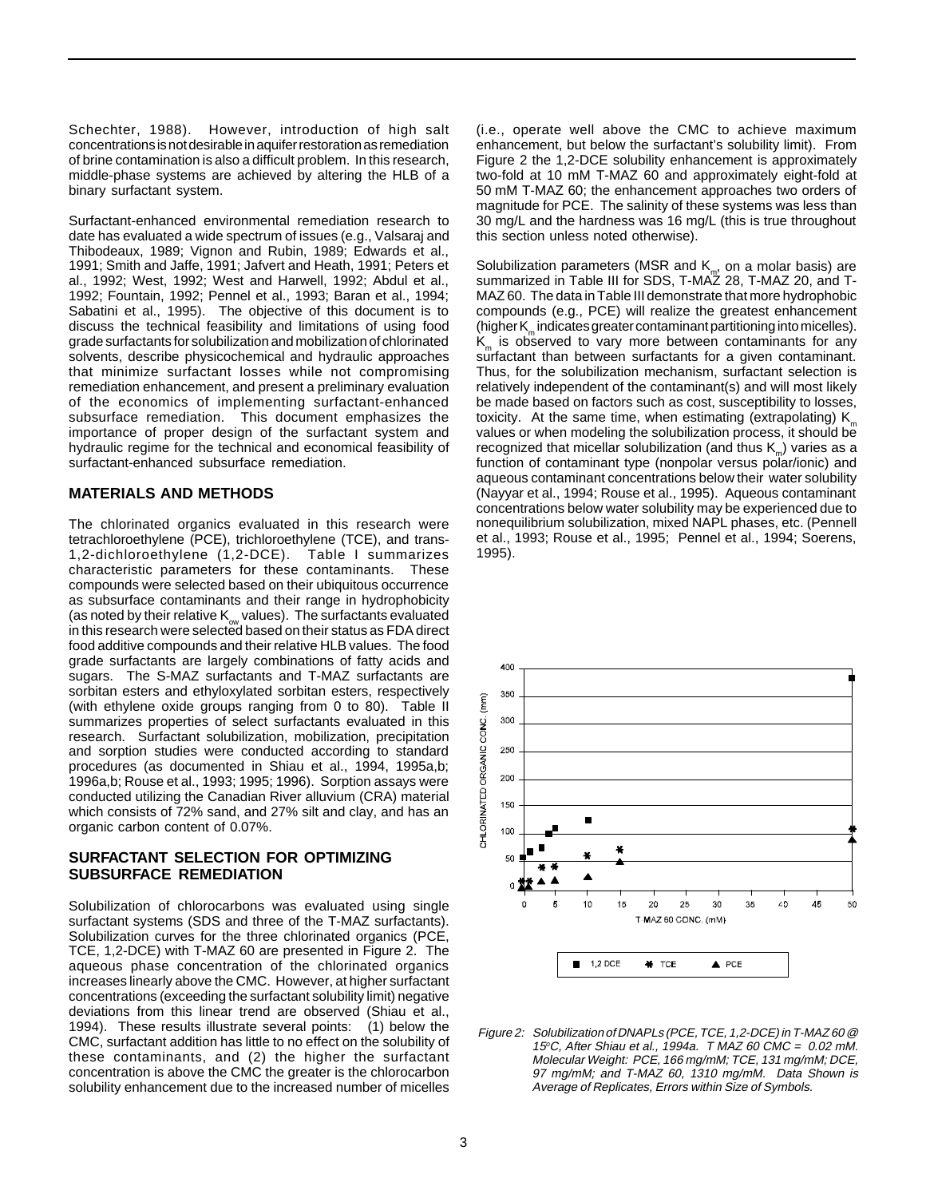Schechter, 1988). However, introduction of high salt concentrations is not desirable in aquifer restoration as remediation of brine contamination is also a difficult problem. In this research, middle-phase systems are achieved by altering the HLB of a binary surfactant system.

Surfactant-enhanced environmental remediation research to date has evaluated a wide spectrum of issues (e.g., Valsaraj and Thibodeaux, 1989; Vignon and Rubin, 1989; Edwards et al., 1991; Smith and Jaffe, 1991; Jafvert and Heath, 1991; Peters et al., 1992; West, 1992; West and Harwell, 1992; Abdul et al., 1992; Fountain, 1992; Pennel et al., 1993; Baran et al., 1994; Sabatini et al., 1995). The objective of this document is to discuss the technical feasibility and limitations of using food grade surfactants for solubilization and mobilization of chlorinated solvents, describe physicochemical and hydraulic approaches that minimize surfactant losses while not compromising remediation enhancement, and present a preliminary evaluation of the economics of implementing surfactant-enhanced subsurface remediation. This document emphasizes the importance of proper design of the surfactant system and hydraulic regime for the technical and economical feasibility of surfactant-enhanced subsurface remediation.

#### **MATERIALS AND METHODS**

The chlorinated organics evaluated in this research were tetrachloroethylene (PCE), trichloroethylene (TCE), and trans-1,2-dichloroethylene (1,2-DCE). Table I summarizes characteristic parameters for these contaminants. These compounds were selected based on their ubiquitous occurrence as subsurface contaminants and their range in hydrophobicity (as noted by their relative  $K_{ow}$  values). The surfactants evaluated in this research were selected based on their status as FDA direct food additive compounds and their relative HLB values. The food grade surfactants are largely combinations of fatty acids and sugars. The S-MAZ surfactants and T-MAZ surfactants are sorbitan esters and ethyloxylated sorbitan esters, respectively (with ethylene oxide groups ranging from 0 to 80). Table II summarizes properties of select surfactants evaluated in this research. Surfactant solubilization, mobilization, precipitation and sorption studies were conducted according to standard procedures (as documented in Shiau et al., 1994, 1995a,b; 1996a,b; Rouse et al., 1993; 1995; 1996). Sorption assays were conducted utilizing the Canadian River alluvium (CRA) material which consists of 72% sand, and 27% silt and clay, and has an organic carbon content of 0.07%.

## **SURFACTANT SELECTION FOR OPTIMIZING SUBSURFACE REMEDIATION**

Solubilization of chlorocarbons was evaluated using single surfactant systems (SDS and three of the T-MAZ surfactants). Solubilization curves for the three chlorinated organics (PCE, TCE, 1,2-DCE) with T-MAZ 60 are presented in Figure 2. The aqueous phase concentration of the chlorinated organics increases linearly above the CMC. However, at higher surfactant concentrations (exceeding the surfactant solubility limit) negative deviations from this linear trend are observed (Shiau et al., 1994). These results illustrate several points: (1) below the CMC, surfactant addition has little to no effect on the solubility of these contaminants, and (2) the higher the surfactant concentration is above the CMC the greater is the chlorocarbon solubility enhancement due to the increased number of micelles

(i.e., operate well above the CMC to achieve maximum enhancement, but below the surfactant's solubility limit). From Figure 2 the 1,2-DCE solubility enhancement is approximately two-fold at 10 mM T-MAZ 60 and approximately eight-fold at 50 mM T-MAZ 60; the enhancement approaches two orders of magnitude for PCE. The salinity of these systems was less than 30 mg/L and the hardness was 16 mg/L (this is true throughout this section unless noted otherwise).

Solubilization parameters (MSR and K<sub>m</sub>, on a molar basis) are<br>summarized in Table III for SDS, T-MAZ 28, T-MAZ 20, and T-MAZ 60. The data in Table III demonstrate that more hydrophobic compounds (e.g., PCE) will realize the greatest enhancement  $(higher K<sub>m</sub> indicates greater contaminant partitioning into micelles).$  $K<sub>m</sub>$  is observed to vary more between contaminants for any surfactant than between surfactants for a given contaminant. Thus, for the solubilization mechanism, surfactant selection is relatively independent of the contaminant(s) and will most likely be made based on factors such as cost, susceptibility to losses, toxicity. At the same time, when estimating (extrapolating)  $K_m$ values or when modeling the solubilization process, it should be recognized that micellar solubilization (and thus  $K_m$ ) varies as a function of contaminant type (nonpolar versus polar/ionic) and aqueous contaminant concentrations below their water solubility (Nayyar et al., 1994; Rouse et al., 1995). Aqueous contaminant concentrations below water solubility may be experienced due to nonequilibrium solubilization, mixed NAPL phases, etc. (Pennell et al., 1993; Rouse et al., 1995; Pennel et al., 1994; Soerens, 1995).



Figure 2: Solubilization of DNAPLs (PCE, TCE, 1,2-DCE) in T-MAZ 60 @ 15°C, After Shiau et al., 1994a. T MAZ 60 CMC = 0.02 mM. Molecular Weight: PCE, 166 mg/mM; TCE, 131 mg/mM; DCE, 97 mg/mM; and T-MAZ 60, 1310 mg/mM. Data Shown is Average of Replicates, Errors within Size of Symbols.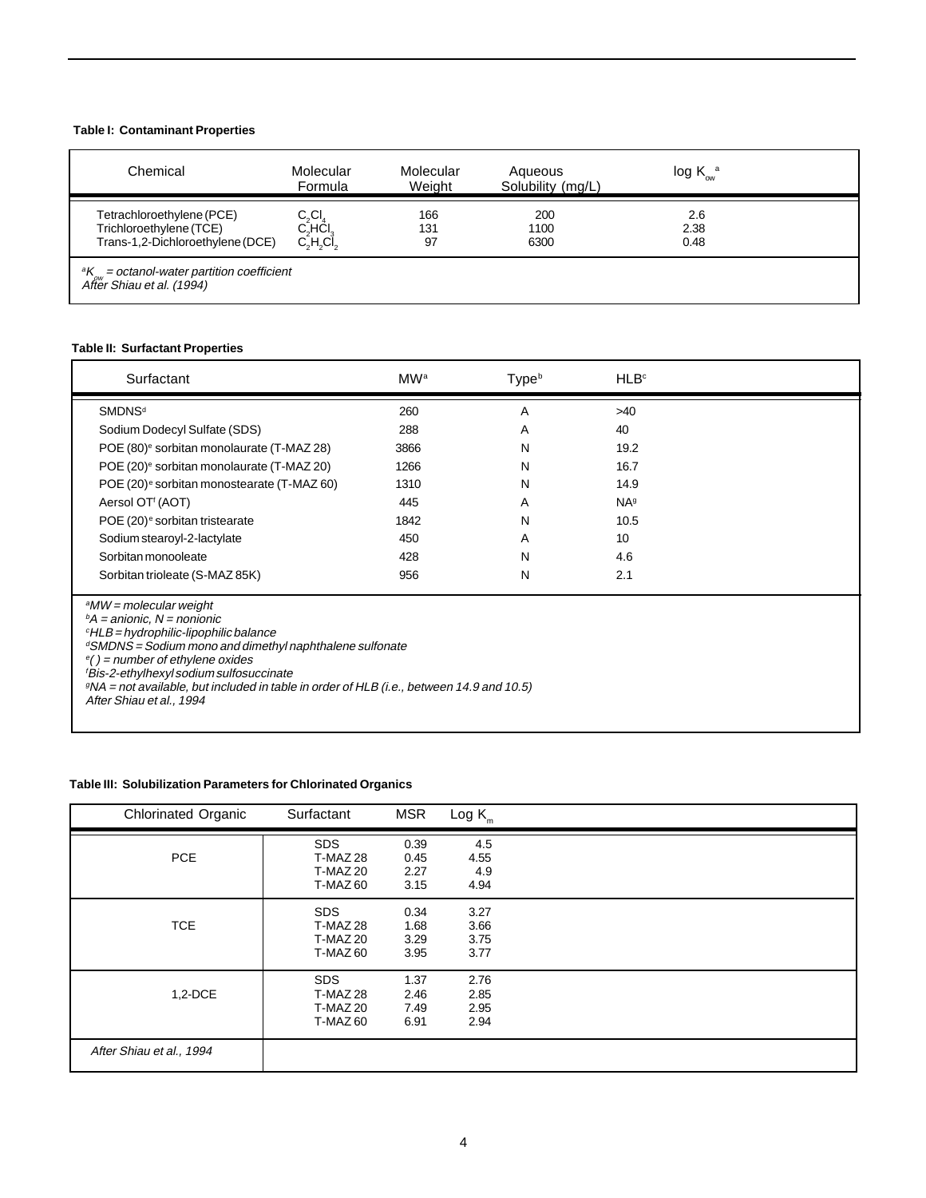## **Table I: Contaminant Properties**

| Chemical                                                                                 | Molecular<br>Formula                                | Molecular<br>Weight | Aqueous<br>Solubility (mg/L) | $log K_{\text{ow}}^{a}$ |  |
|------------------------------------------------------------------------------------------|-----------------------------------------------------|---------------------|------------------------------|-------------------------|--|
| Tetrachloroethylene (PCE)<br>Trichloroethylene (TCE)<br>Trans-1,2-Dichloroethylene (DCE) | $C_2Cl_4$<br>$C_2$ HCl <sub>3</sub><br>$C_2H_2Cl_2$ | 166<br>131<br>97    | 200<br>1100<br>6300          | 2.6<br>2.38<br>0.48     |  |
| ${}^aK_{ow}$ = octanol-water partition coefficient<br>After Shiau et al. (1994)          |                                                     |                     |                              |                         |  |

## **Table II: Surfactant Properties**

| Surfactant                                                                                                                                                                                                                                                                                                                                                                                                                                   | MW <sup>a</sup> | Type <sup>b</sup> | HLB <sup>c</sup>       |  |
|----------------------------------------------------------------------------------------------------------------------------------------------------------------------------------------------------------------------------------------------------------------------------------------------------------------------------------------------------------------------------------------------------------------------------------------------|-----------------|-------------------|------------------------|--|
| <b>SMDNS<sup>d</sup></b>                                                                                                                                                                                                                                                                                                                                                                                                                     | 260             | A                 | $>40$                  |  |
| Sodium Dodecyl Sulfate (SDS)                                                                                                                                                                                                                                                                                                                                                                                                                 | 288             | A                 | 40                     |  |
| POE (80) <sup>e</sup> sorbitan monolaurate (T-MAZ 28)                                                                                                                                                                                                                                                                                                                                                                                        | 3866            | N                 | 19.2                   |  |
| POE (20) <sup>e</sup> sorbitan monolaurate (T-MAZ 20)                                                                                                                                                                                                                                                                                                                                                                                        | 1266            | N                 | 16.7                   |  |
| POE (20) <sup>e</sup> sorbitan monostearate (T-MAZ 60)                                                                                                                                                                                                                                                                                                                                                                                       | 1310            | N                 | 14.9                   |  |
| Aersol OT <sup><i>i</i></sup> (AOT)                                                                                                                                                                                                                                                                                                                                                                                                          | 445             | A                 | <b>NA</b> <sup>g</sup> |  |
| POE (20) <sup>e</sup> sorbitan tristearate                                                                                                                                                                                                                                                                                                                                                                                                   | 1842            | N                 | 10.5                   |  |
| Sodium stearoyl-2-lactylate                                                                                                                                                                                                                                                                                                                                                                                                                  | 450             | A                 | 10                     |  |
| Sorbitan monooleate                                                                                                                                                                                                                                                                                                                                                                                                                          | 428             | N                 | 4.6                    |  |
| Sorbitan trioleate (S-MAZ 85K)                                                                                                                                                                                                                                                                                                                                                                                                               | 956             | N                 | 2.1                    |  |
| <sup>a</sup> MW = molecular weight<br>${}^{\text{b}}$ A = anionic, N = nonionic<br>$\mathcal{C}$ HLB = hydrophilic-lipophilic balance<br><sup>d</sup> SMDNS = Sodium mono and dimethyl naphthalene sulfonate<br>$e()$ = number of ethylene oxides<br><sup>f</sup> Bis-2-ethylhexyl sodium sulfosuccinate<br>$\mathcal{P}NA$ = not available, but included in table in order of HLB (i.e., between 14.9 and 10.5)<br>After Shiau et al., 1994 |                 |                   |                        |  |

## **Table III: Solubilization Parameters for Chlorinated Organics**

| <b>Chlorinated Organic</b> | Surfactant                                                   | <b>MSR</b>                   | $Log K_m$                    |  |
|----------------------------|--------------------------------------------------------------|------------------------------|------------------------------|--|
| <b>PCE</b>                 | <b>SDS</b><br><b>T-MAZ 28</b><br><b>T-MAZ 20</b><br>T-MAZ 60 | 0.39<br>0.45<br>2.27<br>3.15 | 4.5<br>4.55<br>4.9<br>4.94   |  |
| <b>TCE</b>                 | <b>SDS</b><br><b>T-MAZ 28</b><br><b>T-MAZ 20</b><br>T-MAZ 60 | 0.34<br>1.68<br>3.29<br>3.95 | 3.27<br>3.66<br>3.75<br>3.77 |  |
| 1,2-DCE                    | <b>SDS</b><br>T-MAZ 28<br><b>T-MAZ 20</b><br>T-MAZ 60        | 1.37<br>2.46<br>7.49<br>6.91 | 2.76<br>2.85<br>2.95<br>2.94 |  |
| After Shiau et al., 1994   |                                                              |                              |                              |  |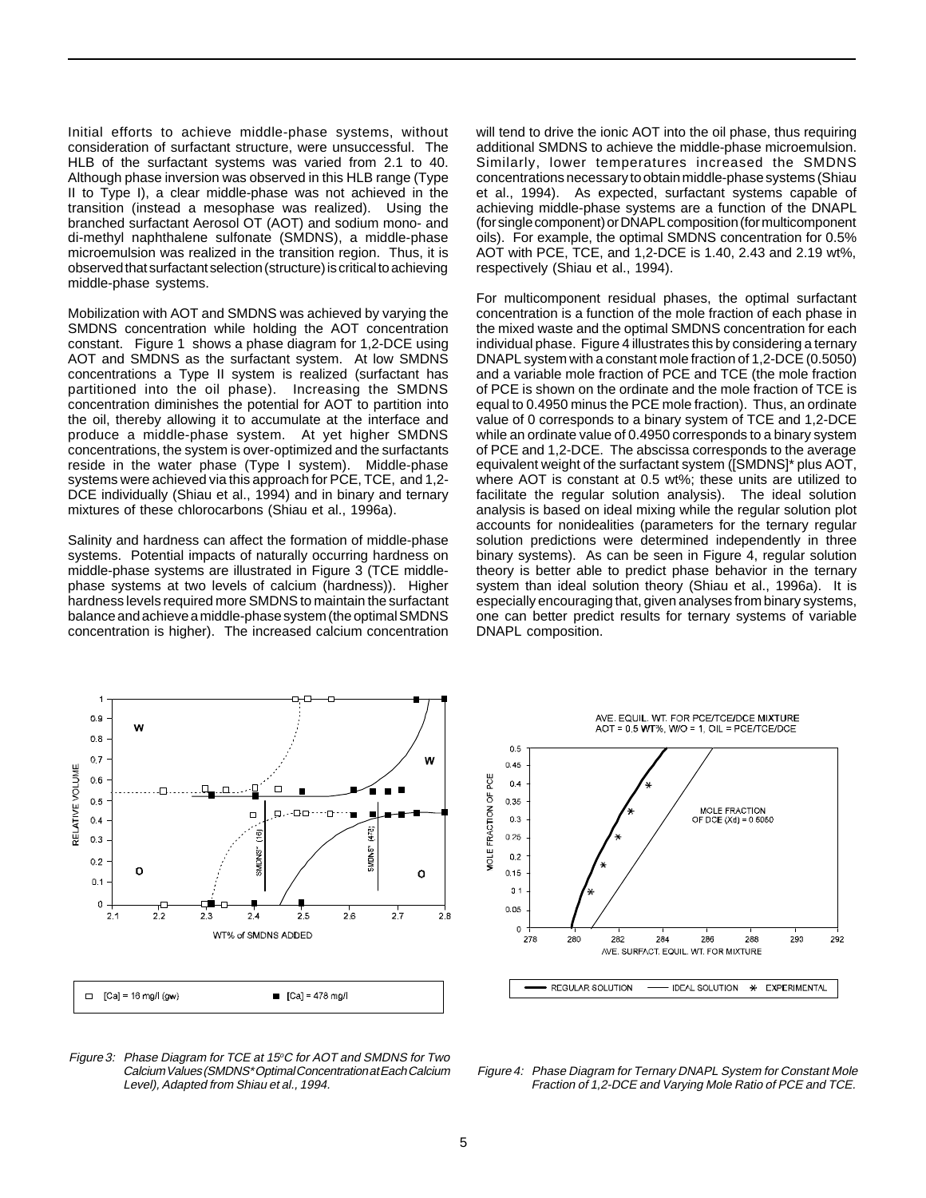Initial efforts to achieve middle-phase systems, without consideration of surfactant structure, were unsuccessful. The HLB of the surfactant systems was varied from 2.1 to 40. Although phase inversion was observed in this HLB range (Type II to Type I), a clear middle-phase was not achieved in the transition (instead a mesophase was realized). Using the branched surfactant Aerosol OT (AOT) and sodium mono- and di-methyl naphthalene sulfonate (SMDNS), a middle-phase microemulsion was realized in the transition region. Thus, it is observed that surfactant selection (structure) is critical to achieving middle-phase systems.

Mobilization with AOT and SMDNS was achieved by varying the SMDNS concentration while holding the AOT concentration constant. Figure 1 shows a phase diagram for 1,2-DCE using AOT and SMDNS as the surfactant system. At low SMDNS concentrations a Type II system is realized (surfactant has partitioned into the oil phase). Increasing the SMDNS concentration diminishes the potential for AOT to partition into the oil, thereby allowing it to accumulate at the interface and produce a middle-phase system. At yet higher SMDNS concentrations, the system is over-optimized and the surfactants reside in the water phase (Type I system). Middle-phase systems were achieved via this approach for PCE, TCE, and 1,2- DCE individually (Shiau et al., 1994) and in binary and ternary mixtures of these chlorocarbons (Shiau et al., 1996a).

Salinity and hardness can affect the formation of middle-phase systems. Potential impacts of naturally occurring hardness on middle-phase systems are illustrated in Figure 3 (TCE middlephase systems at two levels of calcium (hardness)). Higher hardness levels required more SMDNS to maintain the surfactant balance and achieve a middle-phase system (the optimal SMDNS concentration is higher). The increased calcium concentration will tend to drive the ionic AOT into the oil phase, thus requiring additional SMDNS to achieve the middle-phase microemulsion. Similarly, lower temperatures increased the SMDNS concentrations necessary to obtain middle-phase systems (Shiau et al., 1994). As expected, surfactant systems capable of achieving middle-phase systems are a function of the DNAPL (for single component) or DNAPL composition (for multicomponent oils). For example, the optimal SMDNS concentration for 0.5% AOT with PCE, TCE, and 1,2-DCE is 1.40, 2.43 and 2.19 wt%, respectively (Shiau et al., 1994).

For multicomponent residual phases, the optimal surfactant concentration is a function of the mole fraction of each phase in the mixed waste and the optimal SMDNS concentration for each individual phase. Figure 4 illustrates this by considering a ternary DNAPL system with a constant mole fraction of 1,2-DCE (0.5050) and a variable mole fraction of PCE and TCE (the mole fraction of PCE is shown on the ordinate and the mole fraction of TCE is equal to 0.4950 minus the PCE mole fraction). Thus, an ordinate value of 0 corresponds to a binary system of TCE and 1,2-DCE while an ordinate value of 0.4950 corresponds to a binary system of PCE and 1,2-DCE. The abscissa corresponds to the average equivalent weight of the surfactant system ([SMDNS]\* plus AOT, where AOT is constant at 0.5 wt%; these units are utilized to facilitate the regular solution analysis). The ideal solution analysis is based on ideal mixing while the regular solution plot accounts for nonidealities (parameters for the ternary regular solution predictions were determined independently in three binary systems). As can be seen in Figure 4, regular solution theory is better able to predict phase behavior in the ternary system than ideal solution theory (Shiau et al., 1996a). It is especially encouraging that, given analyses from binary systems, one can better predict results for ternary systems of variable DNAPL composition.



Figure 3: Phase Diagram for TCE at 15°C for AOT and SMDNS for Two Calcium Values (SMDNS\* Optimal Concentration at Each Calcium Level), Adapted from Shiau et al., 1994.



Figure 4: Phase Diagram for Ternary DNAPL System for Constant Mole Fraction of 1,2-DCE and Varying Mole Ratio of PCE and TCE.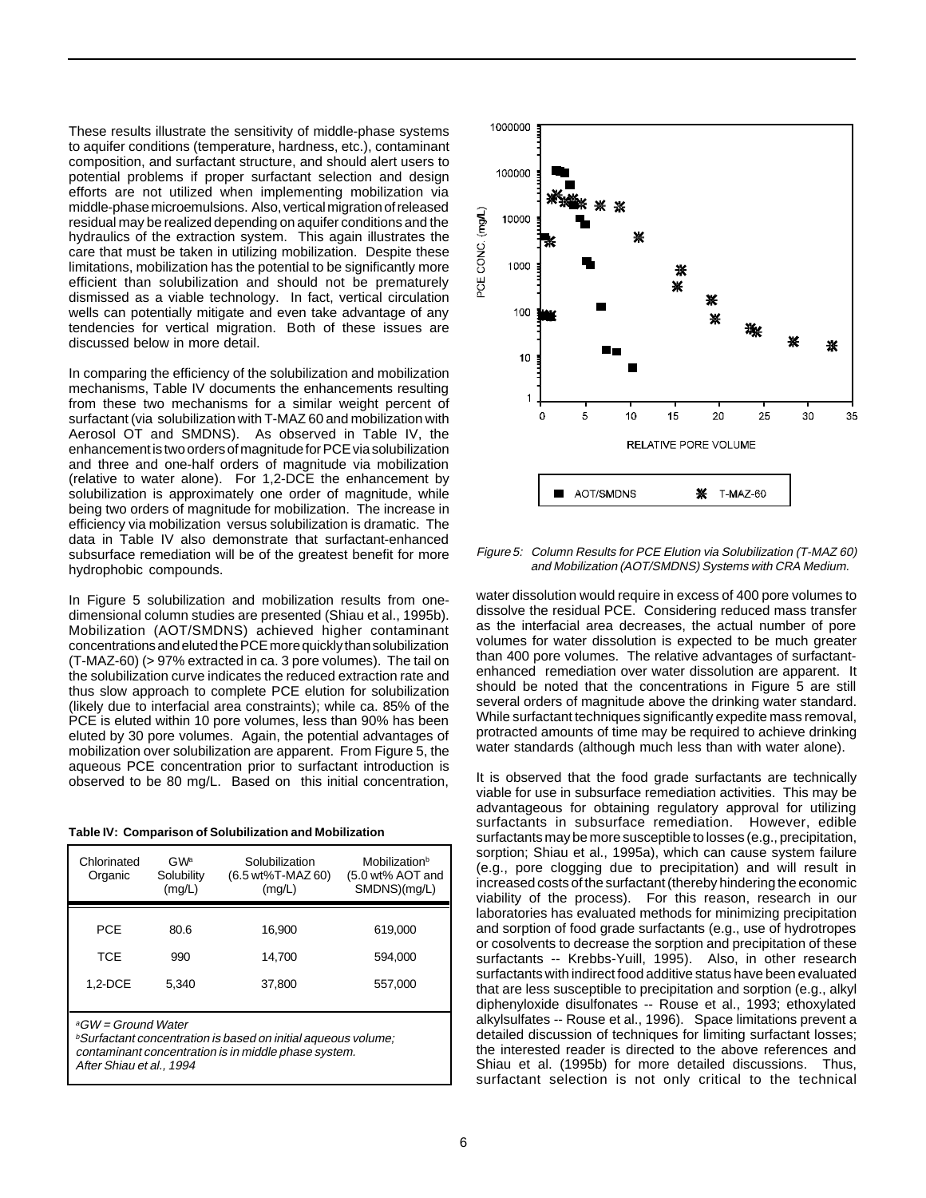These results illustrate the sensitivity of middle-phase systems to aquifer conditions (temperature, hardness, etc.), contaminant composition, and surfactant structure, and should alert users to potential problems if proper surfactant selection and design efforts are not utilized when implementing mobilization via middle-phase microemulsions. Also, vertical migration of released residual may be realized depending on aquifer conditions and the hydraulics of the extraction system. This again illustrates the care that must be taken in utilizing mobilization. Despite these limitations, mobilization has the potential to be significantly more efficient than solubilization and should not be prematurely dismissed as a viable technology. In fact, vertical circulation wells can potentially mitigate and even take advantage of any tendencies for vertical migration. Both of these issues are discussed below in more detail.

In comparing the efficiency of the solubilization and mobilization mechanisms, Table IV documents the enhancements resulting from these two mechanisms for a similar weight percent of surfactant (via solubilization with T-MAZ 60 and mobilization with Aerosol OT and SMDNS). As observed in Table IV, the enhancement is two orders of magnitude for PCE via solubilization and three and one-half orders of magnitude via mobilization (relative to water alone). For 1,2-DCE the enhancement by solubilization is approximately one order of magnitude, while being two orders of magnitude for mobilization. The increase in efficiency via mobilization versus solubilization is dramatic. The data in Table IV also demonstrate that surfactant-enhanced subsurface remediation will be of the greatest benefit for more hydrophobic compounds.

In Figure 5 solubilization and mobilization results from onedimensional column studies are presented (Shiau et al., 1995b). Mobilization (AOT/SMDNS) achieved higher contaminant concentrations and eluted the PCE more quickly than solubilization (T-MAZ-60) (> 97% extracted in ca. 3 pore volumes). The tail on the solubilization curve indicates the reduced extraction rate and thus slow approach to complete PCE elution for solubilization (likely due to interfacial area constraints); while ca. 85% of the PCE is eluted within 10 pore volumes, less than 90% has been eluted by 30 pore volumes. Again, the potential advantages of mobilization over solubilization are apparent. From Figure 5, the aqueous PCE concentration prior to surfactant introduction is observed to be 80 mg/L. Based on this initial concentration,

|  | Table IV: Comparison of Solubilization and Mobilization |
|--|---------------------------------------------------------|
|  |                                                         |

| Chlorinated<br>Organic | GW <sup>a</sup><br>Solubility<br>(mg/L) | Solubilization<br>(6.5 wt%T-MAZ 60)<br>(mg/L) | Mobilization <sup>b</sup><br>(5.0 wt% AOT and<br>SMDNS)(mg/L) |
|------------------------|-----------------------------------------|-----------------------------------------------|---------------------------------------------------------------|
|                        |                                         |                                               |                                                               |
| <b>PCE</b>             | 80.6                                    | 16.900                                        | 619,000                                                       |
| <b>TCE</b>             | 990                                     | 14.700                                        | 594,000                                                       |
| $1.2$ -DCE             | 5.340                                   | 37.800                                        | 557,000                                                       |
|                        |                                         |                                               |                                                               |

<sup>a</sup>GW = Ground Water

 $b$ Surfactant concentration is based on initial aqueous volume; contaminant concentration is in middle phase system. After Shiau et al., 1994



Figure 5: Column Results for PCE Elution via Solubilization (T-MAZ 60) and Mobilization (AOT/SMDNS) Systems with CRA Medium.

water dissolution would require in excess of 400 pore volumes to dissolve the residual PCE. Considering reduced mass transfer as the interfacial area decreases, the actual number of pore volumes for water dissolution is expected to be much greater than 400 pore volumes. The relative advantages of surfactantenhanced remediation over water dissolution are apparent. It should be noted that the concentrations in Figure 5 are still several orders of magnitude above the drinking water standard. While surfactant techniques significantly expedite mass removal, protracted amounts of time may be required to achieve drinking water standards (although much less than with water alone).

It is observed that the food grade surfactants are technically viable for use in subsurface remediation activities. This may be advantageous for obtaining regulatory approval for utilizing surfactants in subsurface remediation. However, edible surfactants may be more susceptible to losses (e.g., precipitation, sorption; Shiau et al., 1995a), which can cause system failure (e.g., pore clogging due to precipitation) and will result in increased costs of the surfactant (thereby hindering the economic viability of the process). For this reason, research in our laboratories has evaluated methods for minimizing precipitation and sorption of food grade surfactants (e.g., use of hydrotropes or cosolvents to decrease the sorption and precipitation of these surfactants -- Krebbs-Yuill, 1995). Also, in other research surfactants with indirect food additive status have been evaluated that are less susceptible to precipitation and sorption (e.g., alkyl diphenyloxide disulfonates -- Rouse et al., 1993; ethoxylated alkylsulfates -- Rouse et al., 1996). Space limitations prevent a detailed discussion of techniques for limiting surfactant losses: the interested reader is directed to the above references and Shiau et al. (1995b) for more detailed discussions. Thus, surfactant selection is not only critical to the technical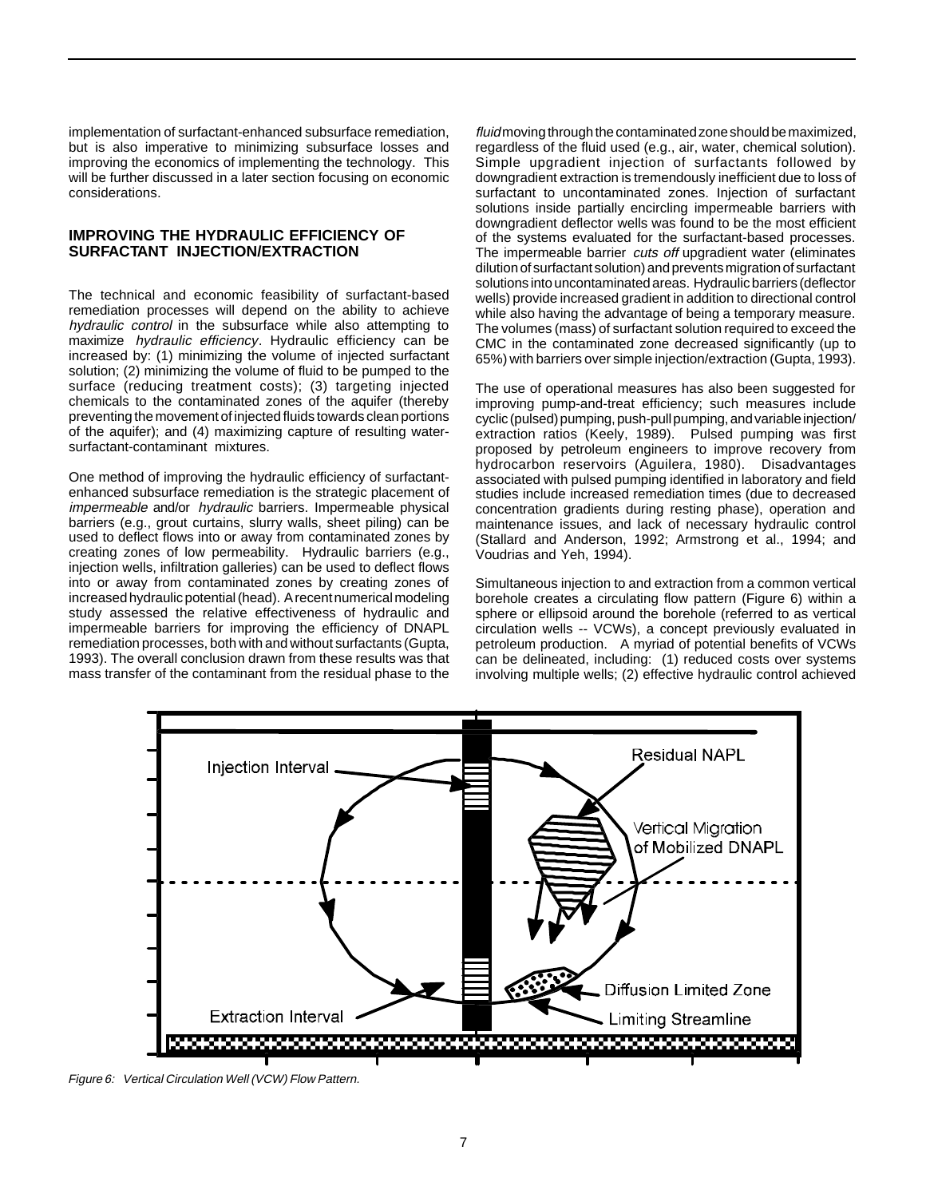implementation of surfactant-enhanced subsurface remediation, but is also imperative to minimizing subsurface losses and improving the economics of implementing the technology. This will be further discussed in a later section focusing on economic considerations.

#### **IMPROVING THE HYDRAULIC EFFICIENCY OF SURFACTANT INJECTION/EXTRACTION**

The technical and economic feasibility of surfactant-based remediation processes will depend on the ability to achieve hydraulic control in the subsurface while also attempting to maximize hydraulic efficiency. Hydraulic efficiency can be increased by: (1) minimizing the volume of injected surfactant solution; (2) minimizing the volume of fluid to be pumped to the surface (reducing treatment costs); (3) targeting injected chemicals to the contaminated zones of the aquifer (thereby preventing the movement of injected fluids towards clean portions of the aquifer); and (4) maximizing capture of resulting watersurfactant-contaminant mixtures.

One method of improving the hydraulic efficiency of surfactantenhanced subsurface remediation is the strategic placement of impermeable and/or hydraulic barriers. Impermeable physical barriers (e.g., grout curtains, slurry walls, sheet piling) can be used to deflect flows into or away from contaminated zones by creating zones of low permeability. Hydraulic barriers (e.g., injection wells, infiltration galleries) can be used to deflect flows into or away from contaminated zones by creating zones of increased hydraulic potential (head). A recent numerical modeling study assessed the relative effectiveness of hydraulic and impermeable barriers for improving the efficiency of DNAPL remediation processes, both with and without surfactants (Gupta, 1993). The overall conclusion drawn from these results was that mass transfer of the contaminant from the residual phase to the

fluid moving through the contaminated zone should be maximized, regardless of the fluid used (e.g., air, water, chemical solution). Simple upgradient injection of surfactants followed by downgradient extraction is tremendously inefficient due to loss of surfactant to uncontaminated zones. Injection of surfactant solutions inside partially encircling impermeable barriers with downgradient deflector wells was found to be the most efficient of the systems evaluated for the surfactant-based processes. The impermeable barrier cuts off upgradient water (eliminates dilution of surfactant solution) and prevents migration of surfactant solutions into uncontaminated areas. Hydraulic barriers (deflector wells) provide increased gradient in addition to directional control while also having the advantage of being a temporary measure. The volumes (mass) of surfactant solution required to exceed the CMC in the contaminated zone decreased significantly (up to 65%) with barriers over simple injection/extraction (Gupta, 1993).

The use of operational measures has also been suggested for improving pump-and-treat efficiency; such measures include cyclic (pulsed) pumping, push-pull pumping, and variable injection/ extraction ratios (Keely, 1989). Pulsed pumping was first proposed by petroleum engineers to improve recovery from hydrocarbon reservoirs (Aguilera, 1980). Disadvantages associated with pulsed pumping identified in laboratory and field studies include increased remediation times (due to decreased concentration gradients during resting phase), operation and maintenance issues, and lack of necessary hydraulic control (Stallard and Anderson, 1992; Armstrong et al., 1994; and Voudrias and Yeh, 1994).

Simultaneous injection to and extraction from a common vertical borehole creates a circulating flow pattern (Figure 6) within a sphere or ellipsoid around the borehole (referred to as vertical circulation wells -- VCWs), a concept previously evaluated in petroleum production. A myriad of potential benefits of VCWs can be delineated, including: (1) reduced costs over systems involving multiple wells; (2) effective hydraulic control achieved



Figure 6: Vertical Circulation Well (VCW) Flow Pattern.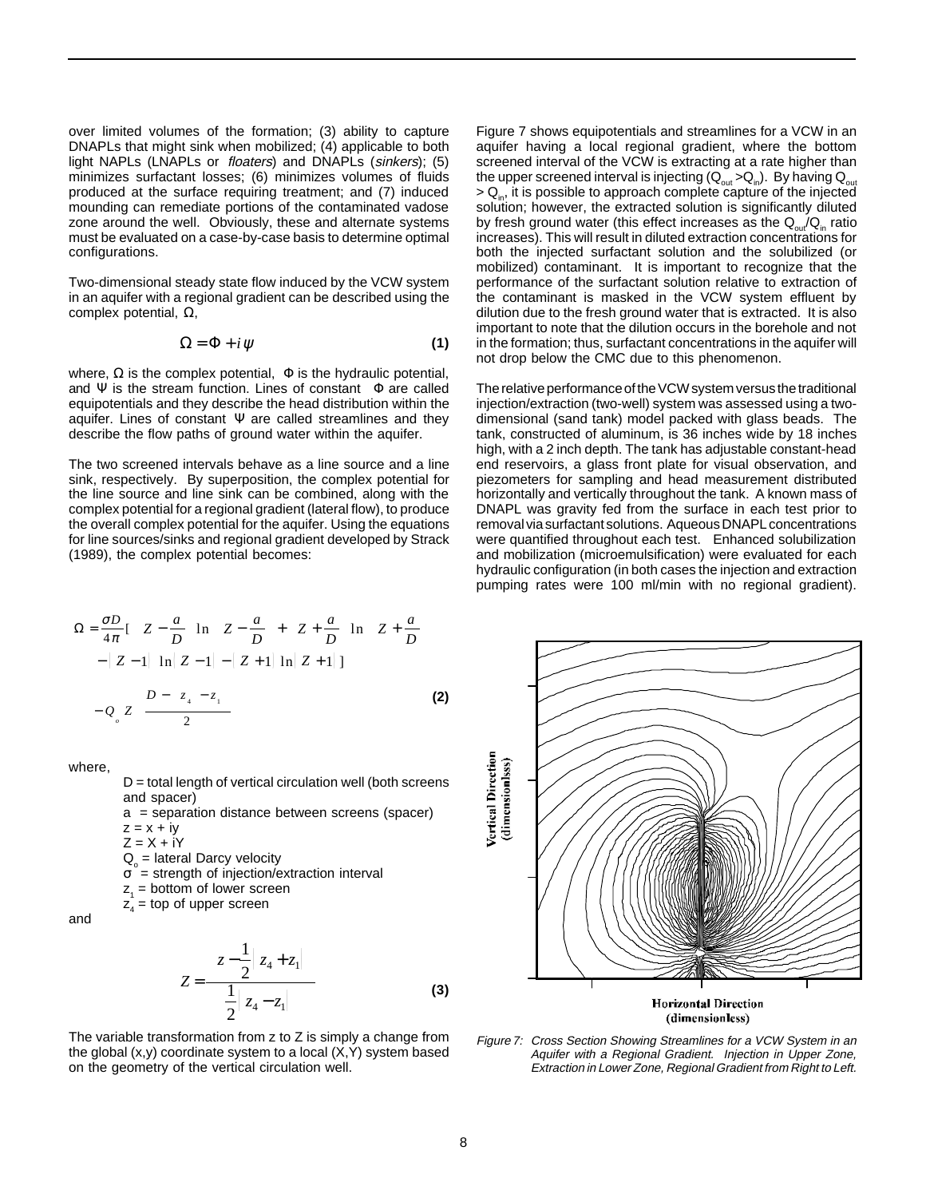over limited volumes of the formation; (3) ability to capture DNAPLs that might sink when mobilized; (4) applicable to both light NAPLs (LNAPLs or floaters) and DNAPLs (sinkers); (5) minimizes surfactant losses; (6) minimizes volumes of fluids produced at the surface requiring treatment; and (7) induced mounding can remediate portions of the contaminated vadose zone around the well. Obviously, these and alternate systems must be evaluated on a case-by-case basis to determine optimal configurations.

Two-dimensional steady state flow induced by the VCW system in an aquifer with a regional gradient can be described using the complex potential, Ω,

$$
\Omega = \Phi + i \psi \tag{1}
$$

where,  $\Omega$  is the complex potential,  $\Phi$  is the hydraulic potential, and  $\Psi$  is the stream function. Lines of constant  $\Phi$  are called equipotentials and they describe the head distribution within the aquifer. Lines of constant  $\Psi$  are called streamlines and they describe the flow paths of ground water within the aquifer.

The two screened intervals behave as a line source and a line sink, respectively. By superposition, the complex potential for the line source and line sink can be combined, along with the complex potential for a regional gradient (lateral flow), to produce the overall complex potential for the aquifer. Using the equations for line sources/sinks and regional gradient developed by Strack (1989), the complex potential becomes:

Figure 7 shows equipotentials and streamlines for a VCW in an aquifer having a local regional gradient, where the bottom screened interval of the VCW is extracting at a rate higher than the upper screened interval is injecting  $(Q_{out} > Q_{in})$ . By having  $Q_{out}$  $> Q_{in}$ , it is possible to approach complete capture of the injected solution; however, the extracted solution is significantly diluted by fresh ground water (this effect increases as the  $Q_{out}/Q_{in}$  ratio increases). This will result in diluted extraction concentrations for both the injected surfactant solution and the solubilized (or mobilized) contaminant. It is important to recognize that the performance of the surfactant solution relative to extraction of the contaminant is masked in the VCW system effluent by dilution due to the fresh ground water that is extracted. It is also important to note that the dilution occurs in the borehole and not in the formation; thus, surfactant concentrations in the aquifer will not drop below the CMC due to this phenomenon.

The relative performance of the VCW system versus the traditional injection/extraction (two-well) system was assessed using a twodimensional (sand tank) model packed with glass beads. The tank, constructed of aluminum, is 36 inches wide by 18 inches high, with a 2 inch depth. The tank has adjustable constant-head end reservoirs, a glass front plate for visual observation, and piezometers for sampling and head measurement distributed horizontally and vertically throughout the tank. A known mass of DNAPL was gravity fed from the surface in each test prior to removal via surfactant solutions. Aqueous DNAPL concentrations were quantified throughout each test. Enhanced solubilization and mobilization (microemulsification) were evaluated for each hydraulic configuration (in both cases the injection and extraction pumping rates were 100 ml/min with no regional gradient).

$$
\Omega = \frac{\sigma D}{4\pi} [\left( Z - \frac{a}{D} \right) \ln \left( Z - \frac{a}{D} \right) + \left( Z + \frac{a}{D} \right) \ln \left( Z + \frac{a}{D} \right) - |Z - 1| \ln |Z - 1| - |Z + 1| \ln |Z + 1| ]
$$
  

$$
- Q_{\circ} Z \left( \frac{D - \left( z_{\circ} - z_{\circ} \right)}{2} \right)
$$
(2)

where,

 $D =$  total length of vertical circulation well (both screens and spacer)

a = separation distance between screens (spacer)

$$
z = x + iy
$$

 $Z = X + iY$ 

 $Q_{\text{o}}$  = lateral Darcy velocity

 $\sigma$  = strength of injection/extraction interval

- $z_1$  = bottom of lower screen
- $z_4$  = top of upper screen

and

$$
Z = \frac{\left[ z - \frac{1}{2} | z_4 + z_1 | \right]}{\frac{1}{2} | z_4 - z_1 |}
$$
 (3)

The variable transformation from z to Z is simply a change from the global  $(x,y)$  coordinate system to a local  $(X,Y)$  system based on the geometry of the vertical circulation well.



(dimensionless)

Figure 7: Cross Section Showing Streamlines for a VCW System in an Aquifer with a Regional Gradient. Injection in Upper Zone, Extraction in Lower Zone, Regional Gradient from Right to Left.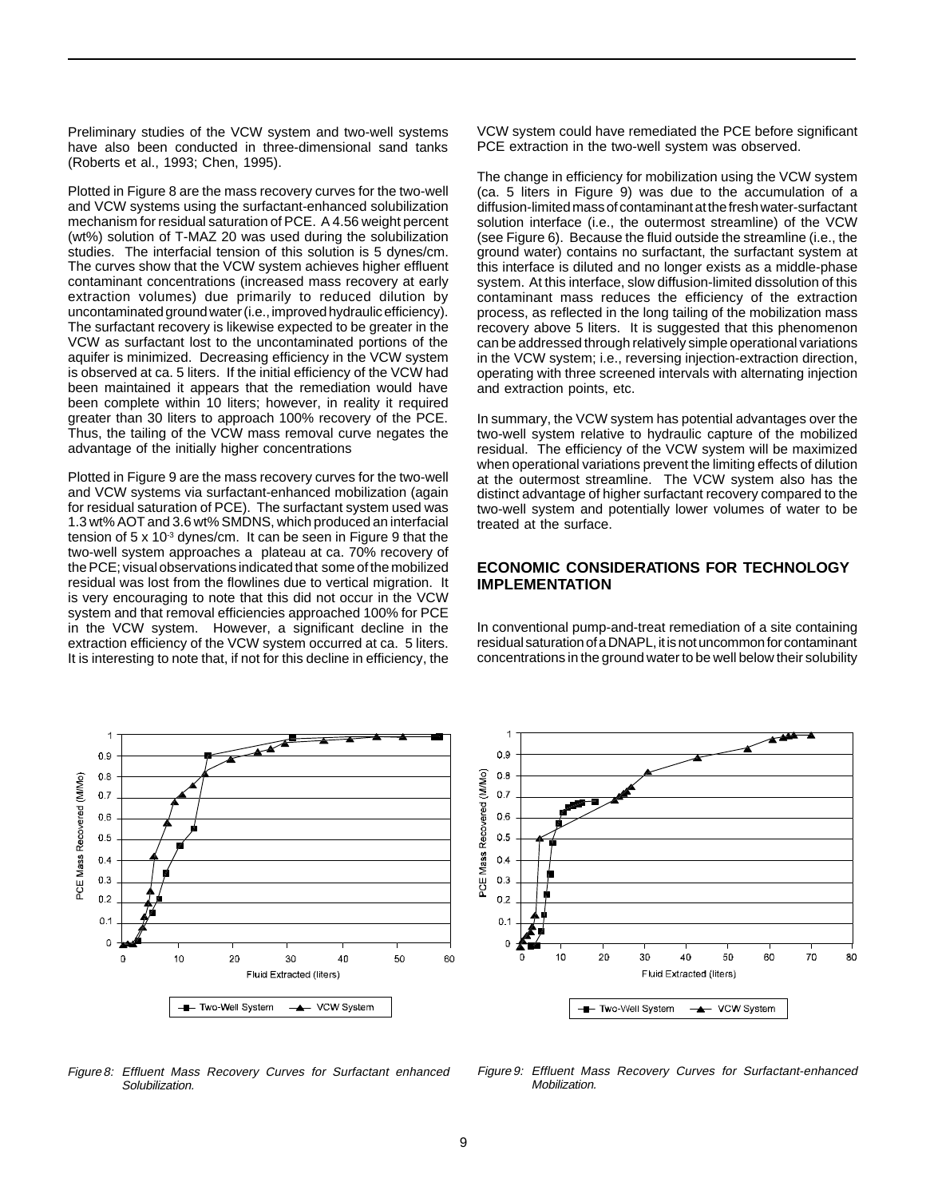Preliminary studies of the VCW system and two-well systems have also been conducted in three-dimensional sand tanks (Roberts et al., 1993; Chen, 1995).

Plotted in Figure 8 are the mass recovery curves for the two-well and VCW systems using the surfactant-enhanced solubilization mechanism for residual saturation of PCE. A 4.56 weight percent (wt%) solution of T-MAZ 20 was used during the solubilization studies. The interfacial tension of this solution is 5 dynes/cm. The curves show that the VCW system achieves higher effluent contaminant concentrations (increased mass recovery at early extraction volumes) due primarily to reduced dilution by uncontaminated ground water (i.e., improved hydraulic efficiency). The surfactant recovery is likewise expected to be greater in the VCW as surfactant lost to the uncontaminated portions of the aquifer is minimized. Decreasing efficiency in the VCW system is observed at ca. 5 liters. If the initial efficiency of the VCW had been maintained it appears that the remediation would have been complete within 10 liters; however, in reality it required greater than 30 liters to approach 100% recovery of the PCE. Thus, the tailing of the VCW mass removal curve negates the advantage of the initially higher concentrations

Plotted in Figure 9 are the mass recovery curves for the two-well and VCW systems via surfactant-enhanced mobilization (again for residual saturation of PCE). The surfactant system used was 1.3 wt% AOT and 3.6 wt% SMDNS, which produced an interfacial tension of  $5 \times 10^{-3}$  dynes/cm. It can be seen in Figure 9 that the two-well system approaches a plateau at ca. 70% recovery of the PCE; visual observations indicated that some of the mobilized residual was lost from the flowlines due to vertical migration. It is very encouraging to note that this did not occur in the VCW system and that removal efficiencies approached 100% for PCE in the VCW system. However, a significant decline in the extraction efficiency of the VCW system occurred at ca. 5 liters. It is interesting to note that, if not for this decline in efficiency, the

1  $0.9$  $0.8$ PCE Mass Recovered (M/Mo)  $0.7$  $0.6$  $0.5$  $0.4$  $0.3$  $0.2$  $0<sup>1</sup>$  $\circ$  $\mathbf 0$ 10 20 30 40 50 60 Fluid Extracted (liters) A VCW System **E**-Two-Well System

Figure 8: Effluent Mass Recovery Curves for Surfactant enhanced Solubilization.

VCW system could have remediated the PCE before significant PCE extraction in the two-well system was observed.

The change in efficiency for mobilization using the VCW system (ca. 5 liters in Figure 9) was due to the accumulation of a diffusion-limited mass of contaminant at the fresh water-surfactant solution interface (i.e., the outermost streamline) of the VCW (see Figure 6). Because the fluid outside the streamline (i.e., the ground water) contains no surfactant, the surfactant system at this interface is diluted and no longer exists as a middle-phase system. At this interface, slow diffusion-limited dissolution of this contaminant mass reduces the efficiency of the extraction process, as reflected in the long tailing of the mobilization mass recovery above 5 liters. It is suggested that this phenomenon can be addressed through relatively simple operational variations in the VCW system; i.e., reversing injection-extraction direction, operating with three screened intervals with alternating injection and extraction points, etc.

In summary, the VCW system has potential advantages over the two-well system relative to hydraulic capture of the mobilized residual. The efficiency of the VCW system will be maximized when operational variations prevent the limiting effects of dilution at the outermost streamline. The VCW system also has the distinct advantage of higher surfactant recovery compared to the two-well system and potentially lower volumes of water to be treated at the surface.

## **ECONOMIC CONSIDERATIONS FOR TECHNOLOGY IMPLEMENTATION**

In conventional pump-and-treat remediation of a site containing residual saturation of a DNAPL, it is not uncommon for contaminant concentrations in the ground water to be well below their solubility



Figure 9: Effluent Mass Recovery Curves for Surfactant-enhanced Mobilization.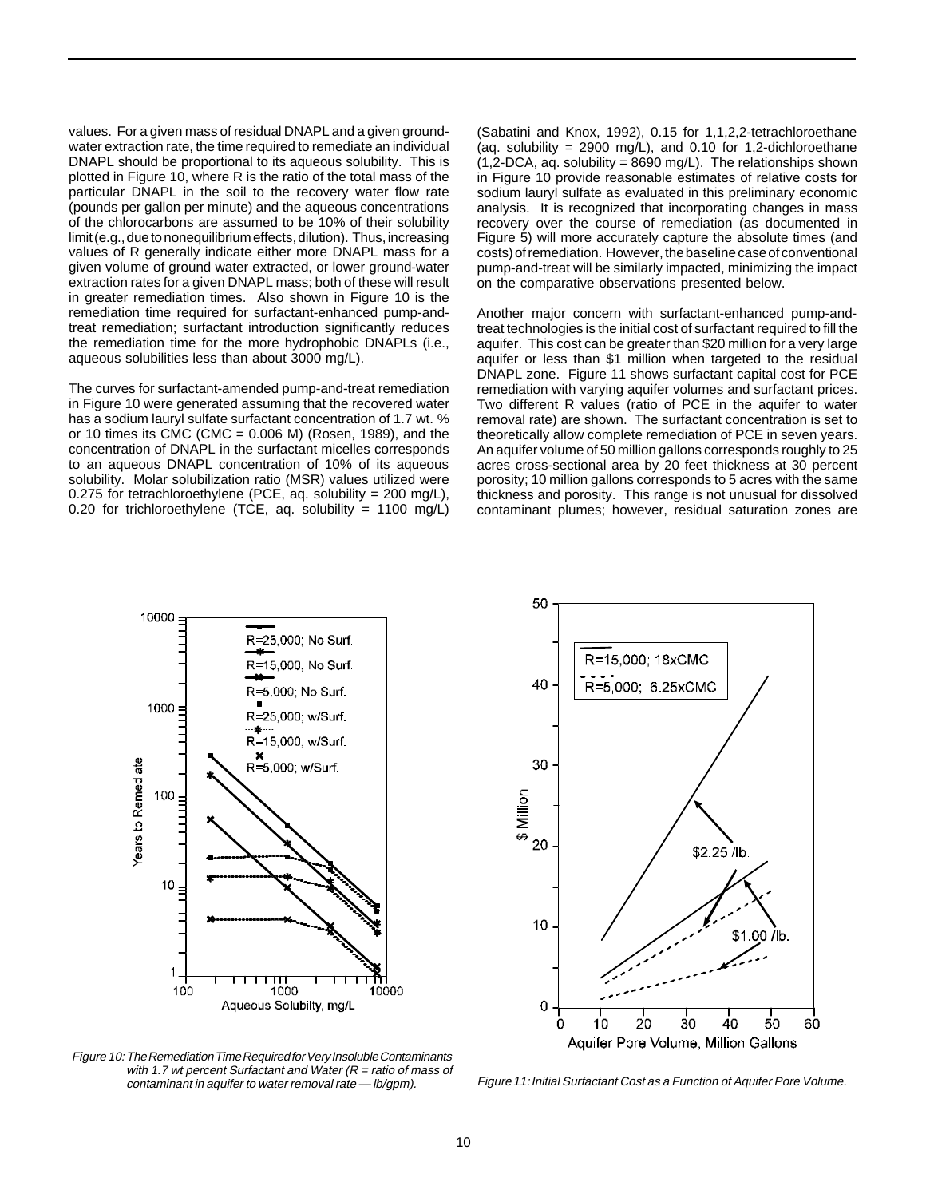values. For a given mass of residual DNAPL and a given groundwater extraction rate, the time required to remediate an individual DNAPL should be proportional to its aqueous solubility. This is plotted in Figure 10, where R is the ratio of the total mass of the particular DNAPL in the soil to the recovery water flow rate (pounds per gallon per minute) and the aqueous concentrations of the chlorocarbons are assumed to be 10% of their solubility limit (e.g., due to nonequilibrium effects, dilution). Thus, increasing values of R generally indicate either more DNAPL mass for a given volume of ground water extracted, or lower ground-water extraction rates for a given DNAPL mass; both of these will result in greater remediation times. Also shown in Figure 10 is the remediation time required for surfactant-enhanced pump-andtreat remediation; surfactant introduction significantly reduces the remediation time for the more hydrophobic DNAPLs (i.e., aqueous solubilities less than about 3000 mg/L).

The curves for surfactant-amended pump-and-treat remediation in Figure 10 were generated assuming that the recovered water has a sodium lauryl sulfate surfactant concentration of 1.7 wt. % or 10 times its CMC (CMC =  $0.006$  M) (Rosen, 1989), and the concentration of DNAPL in the surfactant micelles corresponds to an aqueous DNAPL concentration of 10% of its aqueous solubility. Molar solubilization ratio (MSR) values utilized were 0.275 for tetrachloroethylene (PCE, aq. solubility =  $200 \text{ mg/L}$ ), 0.20 for trichloroethylene (TCE, aq. solubility = 1100 mg/L)

(Sabatini and Knox, 1992), 0.15 for 1,1,2,2-tetrachloroethane (aq. solubility = 2900 mg/L), and 0.10 for 1,2-dichloroethane  $(1,2\text{-DCA}, \text{aq. solubility} = 8690 \text{ mg/L})$ . The relationships shown in Figure 10 provide reasonable estimates of relative costs for sodium lauryl sulfate as evaluated in this preliminary economic analysis. It is recognized that incorporating changes in mass recovery over the course of remediation (as documented in Figure 5) will more accurately capture the absolute times (and costs) of remediation. However, the baseline case of conventional pump-and-treat will be similarly impacted, minimizing the impact on the comparative observations presented below.

Another major concern with surfactant-enhanced pump-andtreat technologies is the initial cost of surfactant required to fill the aquifer. This cost can be greater than \$20 million for a very large aquifer or less than \$1 million when targeted to the residual DNAPL zone. Figure 11 shows surfactant capital cost for PCE remediation with varying aquifer volumes and surfactant prices. Two different R values (ratio of PCE in the aquifer to water removal rate) are shown. The surfactant concentration is set to theoretically allow complete remediation of PCE in seven years. An aquifer volume of 50 million gallons corresponds roughly to 25 acres cross-sectional area by 20 feet thickness at 30 percent porosity; 10 million gallons corresponds to 5 acres with the same thickness and porosity. This range is not unusual for dissolved contaminant plumes; however, residual saturation zones are





Figure 10: The Remediation Time Required for Very Insoluble Contaminants with 1.7 wt percent Surfactant and Water ( $R =$  ratio of mass of contaminant in aquifer to water removal rate — lb/gpm).

Figure 11: Initial Surfactant Cost as a Function of Aquifer Pore Volume.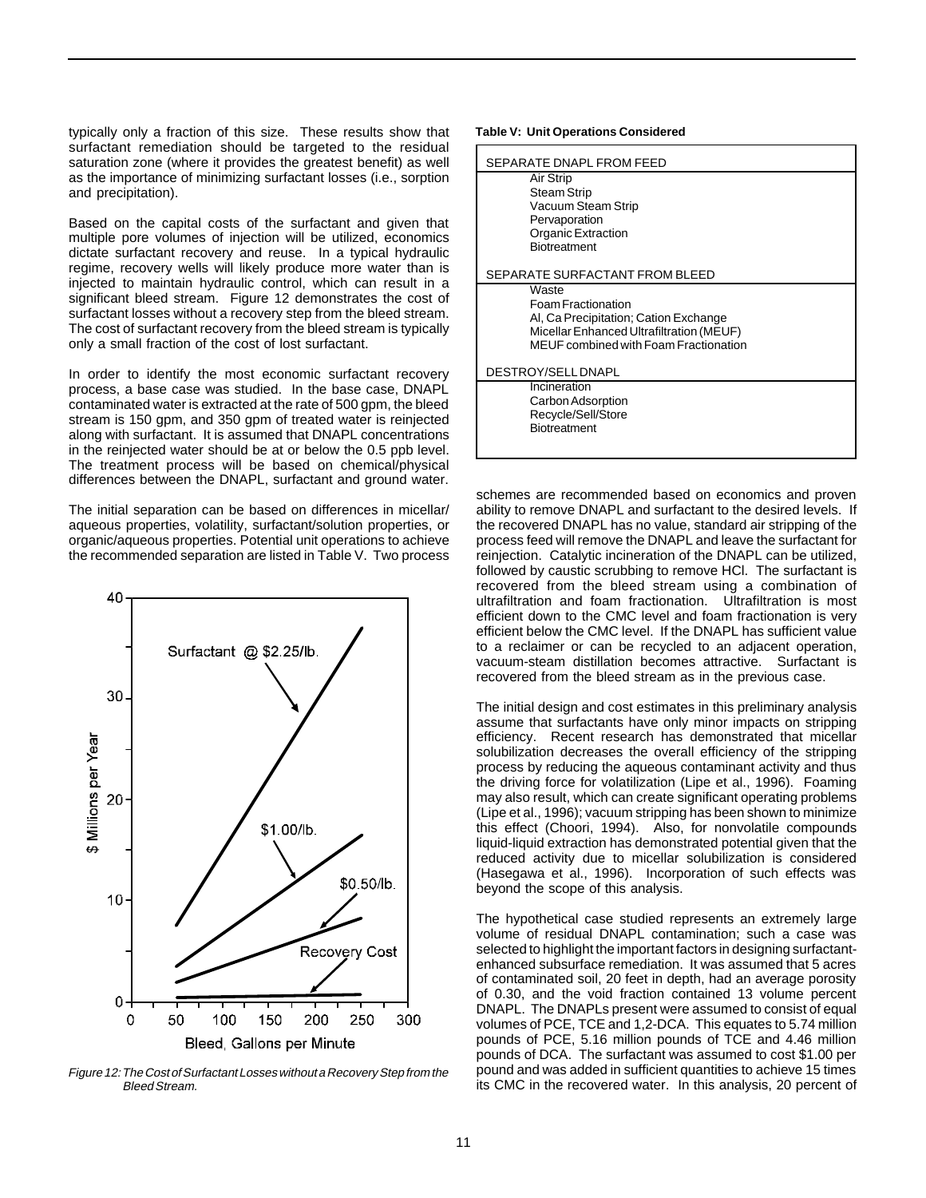typically only a fraction of this size. These results show that surfactant remediation should be targeted to the residual saturation zone (where it provides the greatest benefit) as well as the importance of minimizing surfactant losses (i.e., sorption and precipitation).

Based on the capital costs of the surfactant and given that multiple pore volumes of injection will be utilized, economics dictate surfactant recovery and reuse. In a typical hydraulic regime, recovery wells will likely produce more water than is injected to maintain hydraulic control, which can result in a significant bleed stream. Figure 12 demonstrates the cost of surfactant losses without a recovery step from the bleed stream. The cost of surfactant recovery from the bleed stream is typically only a small fraction of the cost of lost surfactant.

In order to identify the most economic surfactant recovery process, a base case was studied. In the base case, DNAPL contaminated water is extracted at the rate of 500 gpm, the bleed stream is 150 gpm, and 350 gpm of treated water is reinjected along with surfactant. It is assumed that DNAPL concentrations in the reinjected water should be at or below the 0.5 ppb level. The treatment process will be based on chemical/physical differences between the DNAPL, surfactant and ground water.

The initial separation can be based on differences in micellar/ aqueous properties, volatility, surfactant/solution properties, or organic/aqueous properties. Potential unit operations to achieve the recommended separation are listed in Table V. Two process



Figure 12:The Cost of Surfactant Losses without a Recovery Step from the Bleed Stream.

#### **Table V: Unit Operations Considered**

| SEPARATE DNAPL FROM FEED                     |
|----------------------------------------------|
| Air Strip                                    |
| Steam Strip                                  |
| Vacuum Steam Strip                           |
| Pervaporation<br>Organic Extraction          |
| <b>Biotreatment</b>                          |
|                                              |
| SEPARATE SURFACTANT FROM BLEED               |
| Waste                                        |
| Foam Fractionation                           |
| Al, Ca Precipitation; Cation Exchange        |
| Micellar Enhanced Ultrafiltration (MEUF)     |
| <b>MEUF</b> combined with Foam Fractionation |
| DESTROY/SELL DNAPL                           |
| Incineration                                 |
| Carbon Adsorption                            |
| Recycle/Sell/Store                           |
| Biotreatment                                 |
|                                              |

schemes are recommended based on economics and proven ability to remove DNAPL and surfactant to the desired levels. If the recovered DNAPL has no value, standard air stripping of the process feed will remove the DNAPL and leave the surfactant for reinjection. Catalytic incineration of the DNAPL can be utilized, followed by caustic scrubbing to remove HCl. The surfactant is recovered from the bleed stream using a combination of ultrafiltration and foam fractionation. Ultrafiltration is most efficient down to the CMC level and foam fractionation is very efficient below the CMC level. If the DNAPL has sufficient value to a reclaimer or can be recycled to an adjacent operation, vacuum-steam distillation becomes attractive. Surfactant is recovered from the bleed stream as in the previous case.

The initial design and cost estimates in this preliminary analysis assume that surfactants have only minor impacts on stripping efficiency. Recent research has demonstrated that micellar solubilization decreases the overall efficiency of the stripping process by reducing the aqueous contaminant activity and thus the driving force for volatilization (Lipe et al., 1996). Foaming may also result, which can create significant operating problems (Lipe et al., 1996); vacuum stripping has been shown to minimize this effect (Choori, 1994). Also, for nonvolatile compounds liquid-liquid extraction has demonstrated potential given that the reduced activity due to micellar solubilization is considered (Hasegawa et al., 1996). Incorporation of such effects was beyond the scope of this analysis.

The hypothetical case studied represents an extremely large volume of residual DNAPL contamination; such a case was selected to highlight the important factors in designing surfactantenhanced subsurface remediation. It was assumed that 5 acres of contaminated soil, 20 feet in depth, had an average porosity of 0.30, and the void fraction contained 13 volume percent DNAPL. The DNAPLs present were assumed to consist of equal volumes of PCE, TCE and 1,2-DCA. This equates to 5.74 million pounds of PCE, 5.16 million pounds of TCE and 4.46 million pounds of DCA. The surfactant was assumed to cost \$1.00 per pound and was added in sufficient quantities to achieve 15 times its CMC in the recovered water. In this analysis, 20 percent of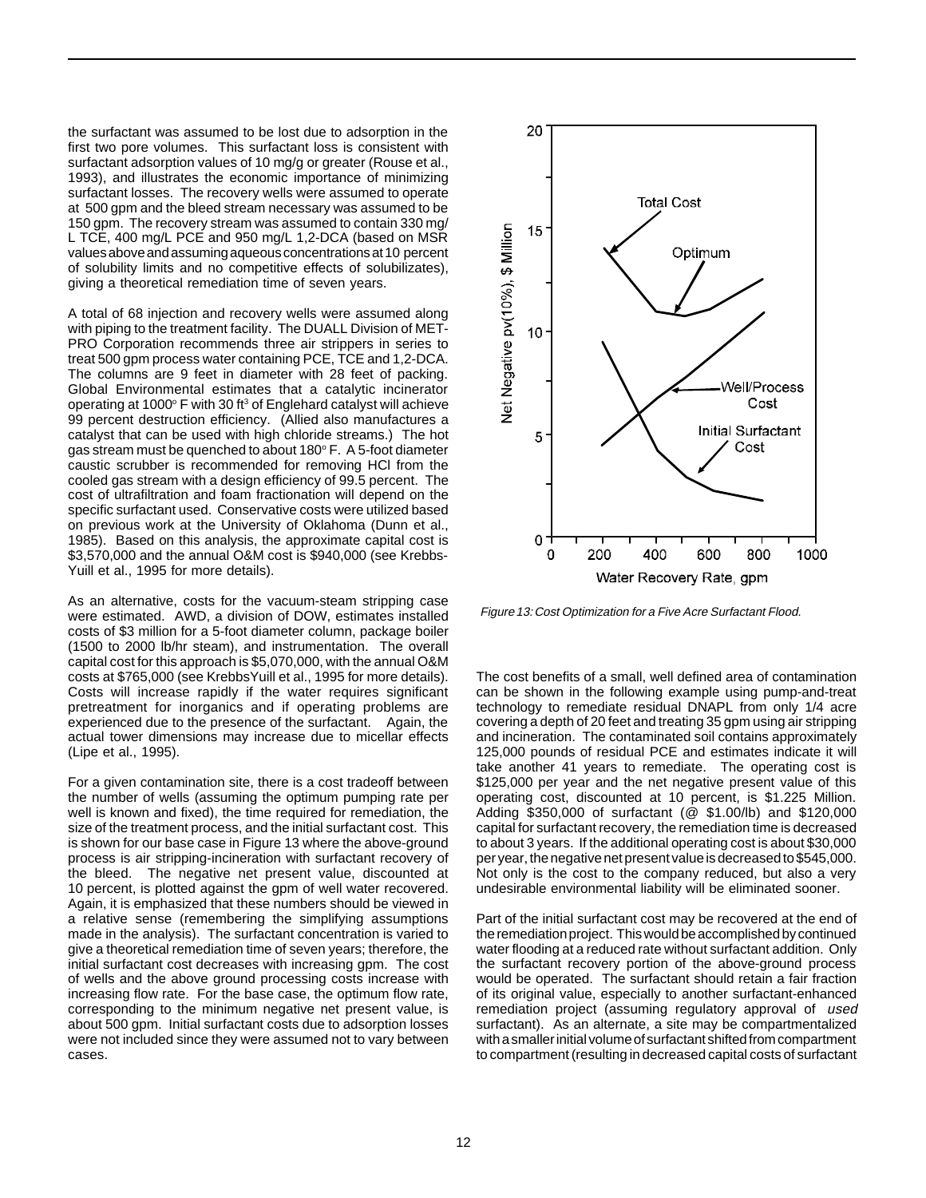the surfactant was assumed to be lost due to adsorption in the first two pore volumes. This surfactant loss is consistent with surfactant adsorption values of 10 mg/g or greater (Rouse et al., 1993), and illustrates the economic importance of minimizing surfactant losses. The recovery wells were assumed to operate at 500 gpm and the bleed stream necessary was assumed to be 150 gpm. The recovery stream was assumed to contain 330 mg/ L TCE, 400 mg/L PCE and 950 mg/L 1,2-DCA (based on MSR values above and assuming aqueous concentrations at 10 percent of solubility limits and no competitive effects of solubilizates), giving a theoretical remediation time of seven years.

A total of 68 injection and recovery wells were assumed along with piping to the treatment facility. The DUALL Division of MET-PRO Corporation recommends three air strippers in series to treat 500 gpm process water containing PCE, TCE and 1,2-DCA. The columns are 9 feet in diameter with 28 feet of packing. Global Environmental estimates that a catalytic incinerator operating at 1000 $^{\circ}$  F with 30 ft<sup>3</sup> of Englehard catalyst will achieve 99 percent destruction efficiency. (Allied also manufactures a catalyst that can be used with high chloride streams.) The hot gas stream must be quenched to about  $180^\circ$  F. A 5-foot diameter caustic scrubber is recommended for removing HCl from the cooled gas stream with a design efficiency of 99.5 percent. The cost of ultrafiltration and foam fractionation will depend on the specific surfactant used. Conservative costs were utilized based on previous work at the University of Oklahoma (Dunn et al., 1985). Based on this analysis, the approximate capital cost is \$3,570,000 and the annual O&M cost is \$940,000 (see Krebbs-Yuill et al., 1995 for more details).

As an alternative, costs for the vacuum-steam stripping case were estimated. AWD, a division of DOW, estimates installed costs of \$3 million for a 5-foot diameter column, package boiler (1500 to 2000 lb/hr steam), and instrumentation. The overall capital cost for this approach is \$5,070,000, with the annual O&M costs at \$765,000 (see KrebbsYuill et al., 1995 for more details). Costs will increase rapidly if the water requires significant pretreatment for inorganics and if operating problems are experienced due to the presence of the surfactant. Again, the actual tower dimensions may increase due to micellar effects (Lipe et al., 1995).

For a given contamination site, there is a cost tradeoff between the number of wells (assuming the optimum pumping rate per well is known and fixed), the time required for remediation, the size of the treatment process, and the initial surfactant cost. This is shown for our base case in Figure 13 where the above-ground process is air stripping-incineration with surfactant recovery of the bleed. The negative net present value, discounted at 10 percent, is plotted against the gpm of well water recovered. Again, it is emphasized that these numbers should be viewed in a relative sense (remembering the simplifying assumptions made in the analysis). The surfactant concentration is varied to give a theoretical remediation time of seven years; therefore, the initial surfactant cost decreases with increasing gpm. The cost of wells and the above ground processing costs increase with increasing flow rate. For the base case, the optimum flow rate, corresponding to the minimum negative net present value, is about 500 gpm. Initial surfactant costs due to adsorption losses were not included since they were assumed not to vary between cases.



Figure 13:Cost Optimization for a Five Acre Surfactant Flood.

The cost benefits of a small, well defined area of contamination can be shown in the following example using pump-and-treat technology to remediate residual DNAPL from only 1/4 acre covering a depth of 20 feet and treating 35 gpm using air stripping and incineration. The contaminated soil contains approximately 125,000 pounds of residual PCE and estimates indicate it will take another 41 years to remediate. The operating cost is \$125,000 per year and the net negative present value of this operating cost, discounted at 10 percent, is \$1.225 Million. Adding \$350,000 of surfactant (@ \$1.00/lb) and \$120,000 capital for surfactant recovery, the remediation time is decreased to about 3 years. If the additional operating cost is about \$30,000 per year, the negative net present value is decreased to \$545,000. Not only is the cost to the company reduced, but also a very undesirable environmental liability will be eliminated sooner.

Part of the initial surfactant cost may be recovered at the end of the remediation project. This would be accomplished by continued water flooding at a reduced rate without surfactant addition. Only the surfactant recovery portion of the above-ground process would be operated. The surfactant should retain a fair fraction of its original value, especially to another surfactant-enhanced remediation project (assuming regulatory approval of used surfactant). As an alternate, a site may be compartmentalized with a smaller initial volume of surfactant shifted from compartment to compartment (resulting in decreased capital costs of surfactant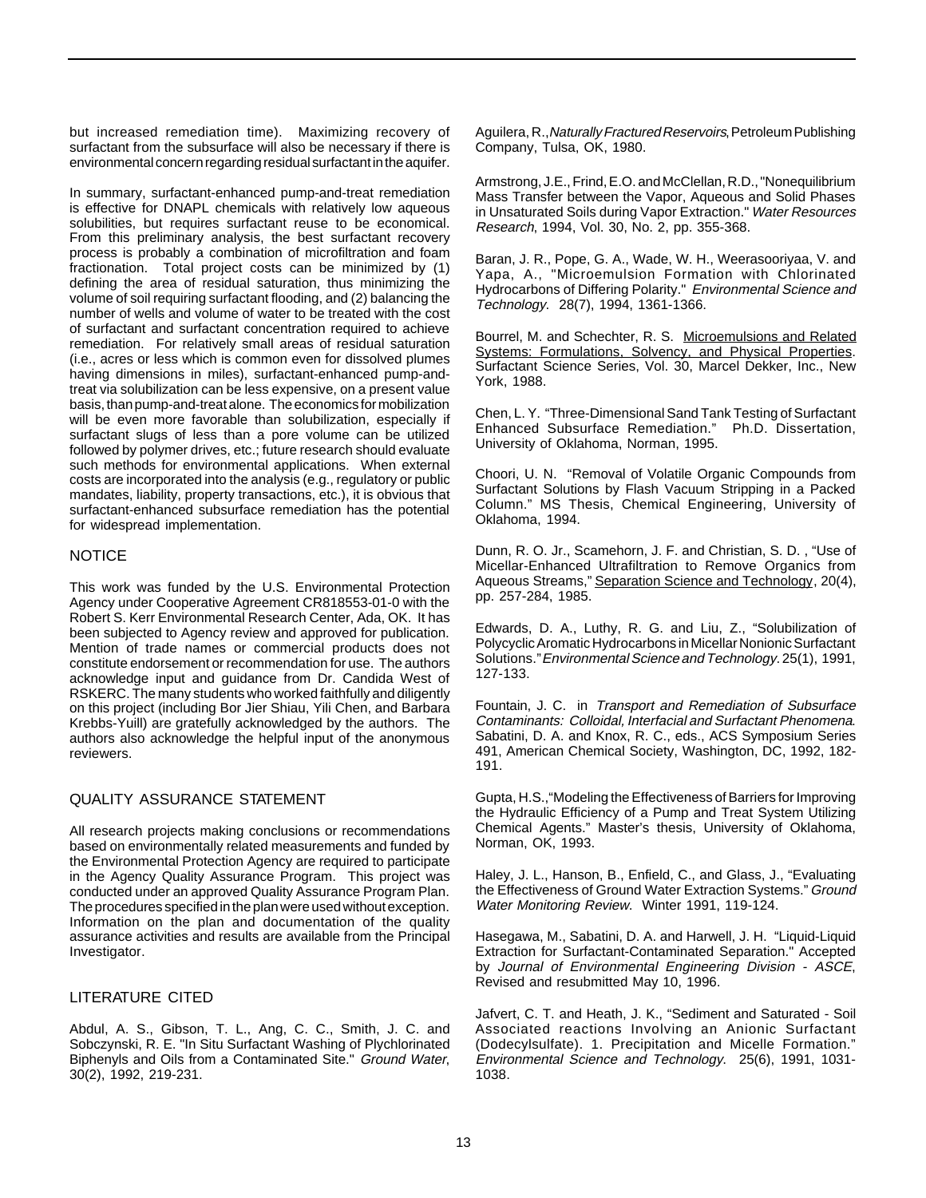but increased remediation time). Maximizing recovery of surfactant from the subsurface will also be necessary if there is environmental concern regarding residual surfactant in the aquifer.

In summary, surfactant-enhanced pump-and-treat remediation is effective for DNAPL chemicals with relatively low aqueous solubilities, but requires surfactant reuse to be economical. From this preliminary analysis, the best surfactant recovery process is probably a combination of microfiltration and foam fractionation. Total project costs can be minimized by (1) defining the area of residual saturation, thus minimizing the volume of soil requiring surfactant flooding, and (2) balancing the number of wells and volume of water to be treated with the cost of surfactant and surfactant concentration required to achieve remediation. For relatively small areas of residual saturation (i.e., acres or less which is common even for dissolved plumes having dimensions in miles), surfactant-enhanced pump-andtreat via solubilization can be less expensive, on a present value basis, than pump-and-treat alone. The economics for mobilization will be even more favorable than solubilization, especially if surfactant slugs of less than a pore volume can be utilized followed by polymer drives, etc.; future research should evaluate such methods for environmental applications. When external costs are incorporated into the analysis (e.g., regulatory or public mandates, liability, property transactions, etc.), it is obvious that surfactant-enhanced subsurface remediation has the potential for widespread implementation.

## NOTICE

This work was funded by the U.S. Environmental Protection Agency under Cooperative Agreement CR818553-01-0 with the Robert S. Kerr Environmental Research Center, Ada, OK. It has been subjected to Agency review and approved for publication. Mention of trade names or commercial products does not constitute endorsement or recommendation for use. The authors acknowledge input and guidance from Dr. Candida West of RSKERC. The many students who worked faithfully and diligently on this project (including Bor Jier Shiau, Yili Chen, and Barbara Krebbs-Yuill) are gratefully acknowledged by the authors. The authors also acknowledge the helpful input of the anonymous reviewers.

## QUALITY ASSURANCE STATEMENT

All research projects making conclusions or recommendations based on environmentally related measurements and funded by the Environmental Protection Agency are required to participate in the Agency Quality Assurance Program. This project was conducted under an approved Quality Assurance Program Plan. The procedures specified in the plan were used without exception. Information on the plan and documentation of the quality assurance activities and results are available from the Principal Investigator.

## LITERATURE CITED

Abdul, A. S., Gibson, T. L., Ang, C. C., Smith, J. C. and Sobczynski, R. E. "In Situ Surfactant Washing of Plychlorinated Biphenyls and Oils from a Contaminated Site." Ground Water, 30(2), 1992, 219-231.

Aguilera, R., Naturally Fractured Reservoirs, Petroleum Publishing Company, Tulsa, OK, 1980.

Armstrong, J.E., Frind, E.O. and McClellan, R.D., "Nonequilibrium Mass Transfer between the Vapor, Aqueous and Solid Phases in Unsaturated Soils during Vapor Extraction." Water Resources Research, 1994, Vol. 30, No. 2, pp. 355-368.

Baran, J. R., Pope, G. A., Wade, W. H., Weerasooriyaa, V. and Yapa, A., "Microemulsion Formation with Chlorinated Hydrocarbons of Differing Polarity." Environmental Science and Technology. 28(7), 1994, 1361-1366.

Bourrel, M. and Schechter, R. S. Microemulsions and Related Systems: Formulations, Solvency, and Physical Properties. Surfactant Science Series, Vol. 30, Marcel Dekker, Inc., New York, 1988.

Chen, L. Y. "Three-Dimensional Sand Tank Testing of Surfactant Enhanced Subsurface Remediation." Ph.D. Dissertation, University of Oklahoma, Norman, 1995.

Choori, U. N. "Removal of Volatile Organic Compounds from Surfactant Solutions by Flash Vacuum Stripping in a Packed Column." MS Thesis, Chemical Engineering, University of Oklahoma, 1994.

Dunn, R. O. Jr., Scamehorn, J. F. and Christian, S. D. , "Use of Micellar-Enhanced Ultrafiltration to Remove Organics from Aqueous Streams," Separation Science and Technology, 20(4), pp. 257-284, 1985.

Edwards, D. A., Luthy, R. G. and Liu, Z., "Solubilization of Polycyclic Aromatic Hydrocarbons in Micellar Nonionic Surfactant Solutions." Environmental Science and Technology. 25(1), 1991, 127-133.

Fountain, J. C. in Transport and Remediation of Subsurface Contaminants: Colloidal, Interfacial and Surfactant Phenomena. Sabatini, D. A. and Knox, R. C., eds., ACS Symposium Series 491, American Chemical Society, Washington, DC, 1992, 182- 191.

Gupta, H.S.,"Modeling the Effectiveness of Barriers for Improving the Hydraulic Efficiency of a Pump and Treat System Utilizing Chemical Agents." Master's thesis, University of Oklahoma, Norman, OK, 1993.

Haley, J. L., Hanson, B., Enfield, C., and Glass, J., "Evaluating the Effectiveness of Ground Water Extraction Systems." Ground Water Monitoring Review. Winter 1991, 119-124.

Hasegawa, M., Sabatini, D. A. and Harwell, J. H. "Liquid-Liquid Extraction for Surfactant-Contaminated Separation." Accepted by Journal of Environmental Engineering Division - ASCE, Revised and resubmitted May 10, 1996.

Jafvert, C. T. and Heath, J. K., "Sediment and Saturated - Soil Associated reactions Involving an Anionic Surfactant (Dodecylsulfate). 1. Precipitation and Micelle Formation." Environmental Science and Technology. 25(6), 1991, 1031- 1038.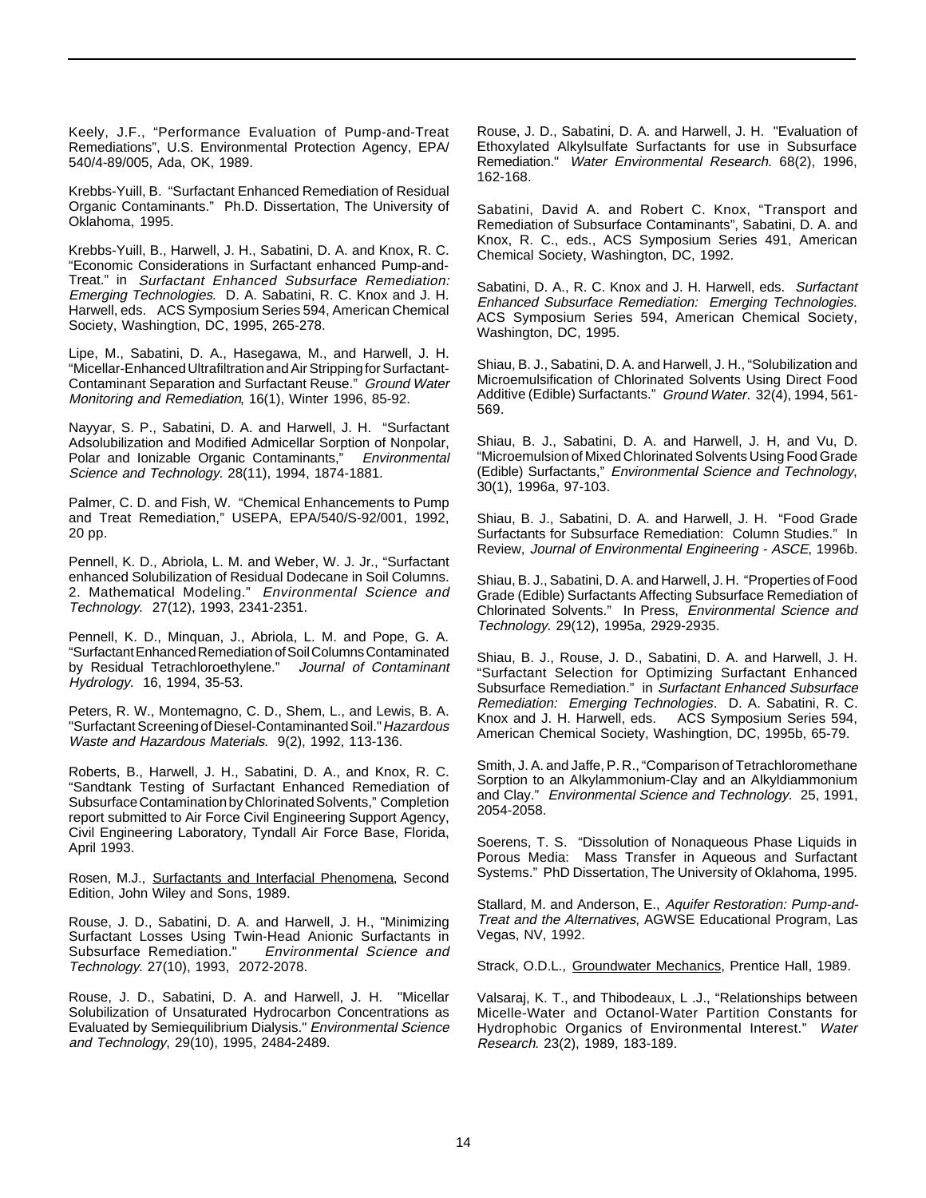Keely, J.F., "Performance Evaluation of Pump-and-Treat Remediations", U.S. Environmental Protection Agency, EPA/ 540/4-89/005, Ada, OK, 1989.

Krebbs-Yuill, B. "Surfactant Enhanced Remediation of Residual Organic Contaminants." Ph.D. Dissertation, The University of Oklahoma, 1995.

Krebbs-Yuill, B., Harwell, J. H., Sabatini, D. A. and Knox, R. C. "Economic Considerations in Surfactant enhanced Pump-and-Treat." in Surfactant Enhanced Subsurface Remediation: Emerging Technologies. D. A. Sabatini, R. C. Knox and J. H. Harwell, eds. ACS Symposium Series 594, American Chemical Society, Washingtion, DC, 1995, 265-278.

Lipe, M., Sabatini, D. A., Hasegawa, M., and Harwell, J. H. "Micellar-Enhanced Ultrafiltration and Air Stripping for Surfactant-Contaminant Separation and Surfactant Reuse." Ground Water Monitoring and Remediation, 16(1), Winter 1996, 85-92.

Nayyar, S. P., Sabatini, D. A. and Harwell, J. H. "Surfactant Adsolubilization and Modified Admicellar Sorption of Nonpolar, Polar and Ionizable Organic Contaminants," Environmental Science and Technology. 28(11), 1994, 1874-1881.

Palmer, C. D. and Fish, W. "Chemical Enhancements to Pump and Treat Remediation," USEPA, EPA/540/S-92/001, 1992, 20 pp.

Pennell, K. D., Abriola, L. M. and Weber, W. J. Jr., "Surfactant enhanced Solubilization of Residual Dodecane in Soil Columns. 2. Mathematical Modeling." Environmental Science and Technology. 27(12), 1993, 2341-2351.

Pennell, K. D., Minquan, J., Abriola, L. M. and Pope, G. A. "Surfactant Enhanced Remediation of Soil Columns Contaminated by Residual Tetrachloroethylene." Journal of Contaminant Hydrology. 16, 1994, 35-53.

Peters, R. W., Montemagno, C. D., Shem, L., and Lewis, B. A. "Surfactant Screening of Diesel-Contaminanted Soil." Hazardous Waste and Hazardous Materials. 9(2), 1992, 113-136.

Roberts, B., Harwell, J. H., Sabatini, D. A., and Knox, R. C. "Sandtank Testing of Surfactant Enhanced Remediation of Subsurface Contamination by Chlorinated Solvents," Completion report submitted to Air Force Civil Engineering Support Agency, Civil Engineering Laboratory, Tyndall Air Force Base, Florida, April 1993.

Rosen, M.J., Surfactants and Interfacial Phenomena, Second Edition, John Wiley and Sons, 1989.

Rouse, J. D., Sabatini, D. A. and Harwell, J. H., "Minimizing Surfactant Losses Using Twin-Head Anionic Surfactants in Subsurface Remediation." Environmental Science and Technology. 27(10), 1993, 2072-2078.

Rouse, J. D., Sabatini, D. A. and Harwell, J. H. "Micellar Solubilization of Unsaturated Hydrocarbon Concentrations as Evaluated by Semiequilibrium Dialysis." Environmental Science and Technology, 29(10), 1995, 2484-2489.

Rouse, J. D., Sabatini, D. A. and Harwell, J. H. "Evaluation of Ethoxylated Alkylsulfate Surfactants for use in Subsurface Remediation." Water Environmental Research. 68(2), 1996, 162-168.

Sabatini, David A. and Robert C. Knox, "Transport and Remediation of Subsurface Contaminants", Sabatini, D. A. and Knox, R. C., eds., ACS Symposium Series 491, American Chemical Society, Washington, DC, 1992.

Sabatini, D. A., R. C. Knox and J. H. Harwell, eds. Surfactant Enhanced Subsurface Remediation: Emerging Technologies. ACS Symposium Series 594, American Chemical Society, Washington, DC, 1995.

Shiau, B. J., Sabatini, D. A. and Harwell, J. H., "Solubilization and Microemulsification of Chlorinated Solvents Using Direct Food Additive (Edible) Surfactants." Ground Water. 32(4), 1994, 561- 569.

Shiau, B. J., Sabatini, D. A. and Harwell, J. H, and Vu, D. "Microemulsion of Mixed Chlorinated Solvents Using Food Grade (Edible) Surfactants," Environmental Science and Technology, 30(1), 1996a, 97-103.

Shiau, B. J., Sabatini, D. A. and Harwell, J. H. "Food Grade Surfactants for Subsurface Remediation: Column Studies." In Review, Journal of Environmental Engineering - ASCE, 1996b.

Shiau, B. J., Sabatini, D. A. and Harwell, J. H. "Properties of Food Grade (Edible) Surfactants Affecting Subsurface Remediation of Chlorinated Solvents." In Press, Environmental Science and Technology. 29(12), 1995a, 2929-2935.

Shiau, B. J., Rouse, J. D., Sabatini, D. A. and Harwell, J. H. "Surfactant Selection for Optimizing Surfactant Enhanced Subsurface Remediation." in Surfactant Enhanced Subsurface Remediation: Emerging Technologies. D. A. Sabatini, R. C. Knox and J. H. Harwell, eds. ACS Symposium Series 594, American Chemical Society, Washingtion, DC, 1995b, 65-79.

Smith, J. A. and Jaffe, P. R., "Comparison of Tetrachloromethane Sorption to an Alkylammonium-Clay and an Alkyldiammonium and Clay." Environmental Science and Technology. 25, 1991, 2054-2058.

Soerens, T. S. "Dissolution of Nonaqueous Phase Liquids in Porous Media: Mass Transfer in Aqueous and Surfactant Systems." PhD Dissertation, The University of Oklahoma, 1995.

Stallard, M. and Anderson, E., Aquifer Restoration: Pump-and-Treat and the Alternatives, AGWSE Educational Program, Las Vegas, NV, 1992.

Strack, O.D.L., Groundwater Mechanics, Prentice Hall, 1989.

Valsaraj, K. T., and Thibodeaux, L .J., "Relationships between Micelle-Water and Octanol-Water Partition Constants for Hydrophobic Organics of Environmental Interest." Water Research. 23(2), 1989, 183-189.